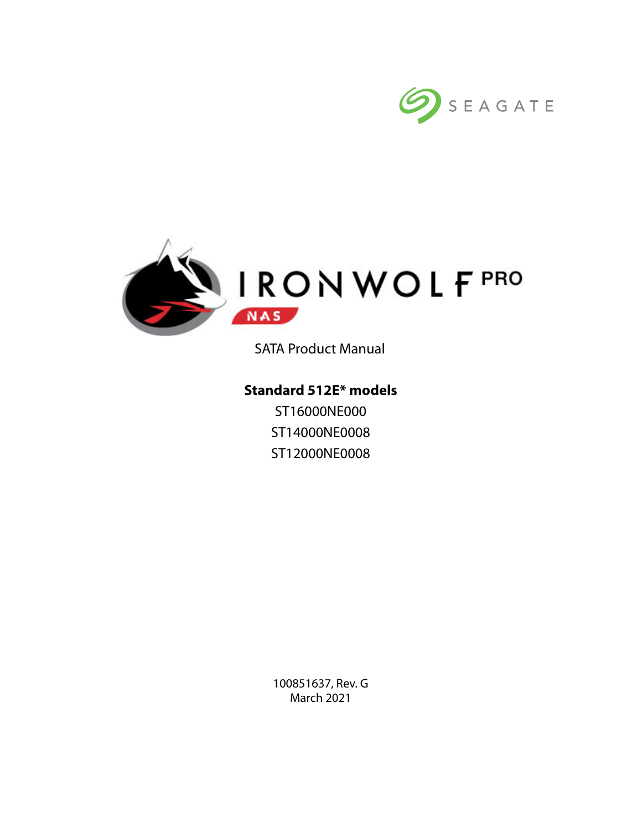



SATA Product Manual

# **Standard 512E\* models**

ST16000NE000 ST14000NE0008 ST12000NE0008

100851637, Rev. G March 2021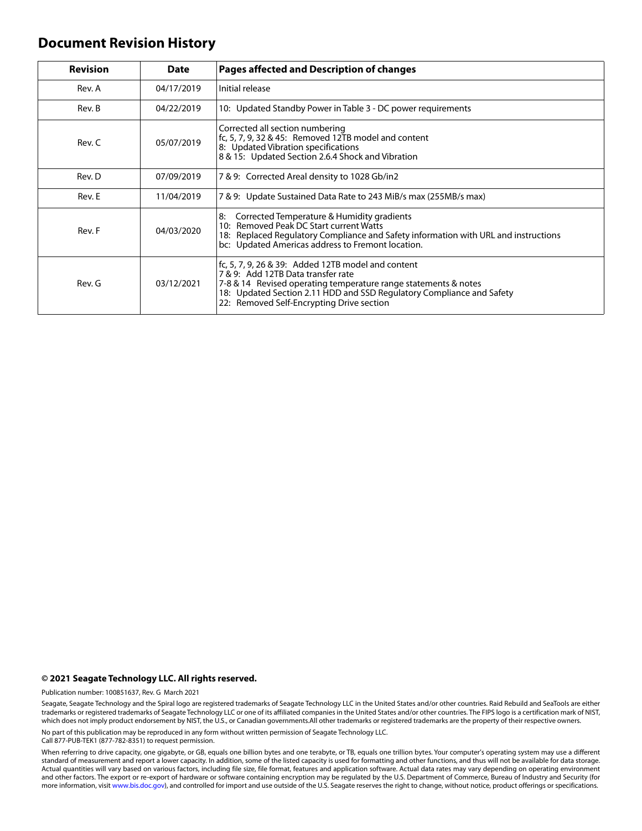# **Document Revision History**

| <b>Revision</b> | Date       | <b>Pages affected and Description of changes</b>                                                                                                                                                                                                                                     |
|-----------------|------------|--------------------------------------------------------------------------------------------------------------------------------------------------------------------------------------------------------------------------------------------------------------------------------------|
| Rev. A          | 04/17/2019 | Initial release                                                                                                                                                                                                                                                                      |
| Rev. B          | 04/22/2019 | 10: Updated Standby Power in Table 3 - DC power requirements                                                                                                                                                                                                                         |
| Rev. C          | 05/07/2019 | Corrected all section numbering<br>$fc$ , 5, 7, 9, 32 & 45: Removed 12TB model and content<br>8: Updated Vibration specifications<br>8 & 15: Updated Section 2.6.4 Shock and Vibration                                                                                               |
| Rev. D          | 07/09/2019 | 7 & 9: Corrected Areal density to 1028 Gb/in2                                                                                                                                                                                                                                        |
| Rev. E          | 11/04/2019 | 7 & 9: Update Sustained Data Rate to 243 MiB/s max (255MB/s max)                                                                                                                                                                                                                     |
| Rev. F          | 04/03/2020 | Corrected Temperature & Humidity gradients<br>8:<br>10: Removed Peak DC Start current Watts<br>18: Replaced Regulatory Compliance and Safety information with URL and instructions<br>bc: Updated Americas address to Fremont location.                                              |
| Rev. G          | 03/12/2021 | $fc$ , 5, 7, 9, 26 & 39: Added 12TB model and content<br>7 & 9: Add 12TB Data transfer rate<br>7-8 & 14 Revised operating temperature range statements & notes<br>18: Updated Section 2.11 HDD and SSD Regulatory Compliance and Safety<br>22: Removed Self-Encrypting Drive section |

#### **© 2021 Seagate Technology LLC. All rights reserved.**

Publication number: 100851637, Rev. G March 2021

Seagate, Seagate Technology and the Spiral logo are registered trademarks of Seagate Technology LLC in the United States and/or other countries. Raid Rebuild and SeaTools are either trademarks or registered trademarks of Seagate Technology LLC or one of its affiliated companies in the United States and/or other countries. The FIPS logo is a certification mark of NIST, which does not imply product endorsement by NIST, the U.S., or Canadian governments.All other trademarks or registered trademarks are the property of their respective owners.

No part of this publication may be reproduced in any form without written permission of Seagate Technology LLC. Call 877-PUB-TEK1 (877-782-8351) to request permission.

When referring to drive capacity, one gigabyte, or GB, equals one billion bytes and one terabyte, or TB, equals one trillion bytes. Your computer's operating system may use a different standard of measurement and report a lower capacity. In addition, some of the listed capacity is used for formatting and other functions, and thus will not be available for data storage. Actual quantities will vary based on various factors, including file size, file format, features and application software. Actual data rates may vary depending on operating environment and other factors. The export or re-export of hardware or software containing encryption may be regulated by the U.S. Department of Commerce, Bureau of Industry and Security (for more information, visit [www.bis.doc.gov](http://www.bis.doc.gov)), and controlled for import and use outside of the U.S. Seagate reserves the right to change, without notice, product offerings or specifications.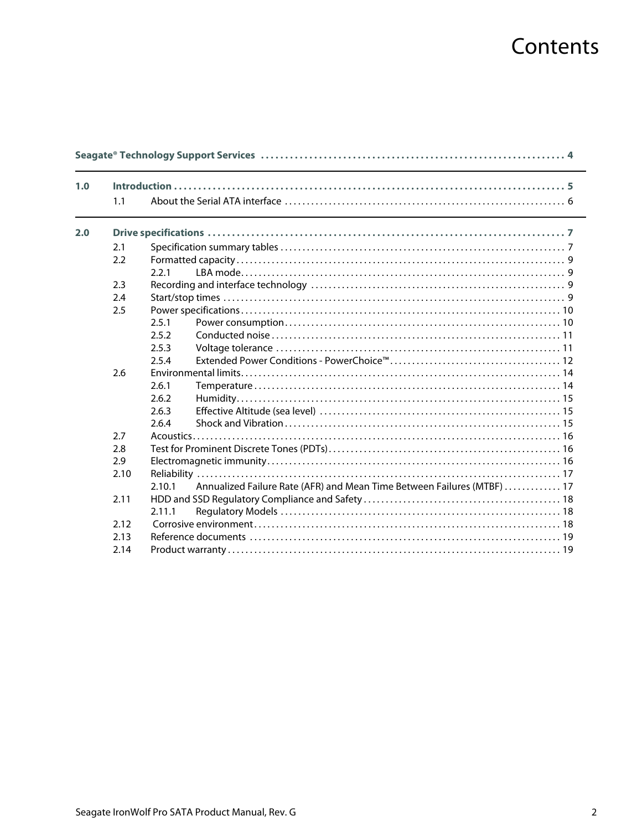# Contents

| 1.0 |      |                                                                                   |  |
|-----|------|-----------------------------------------------------------------------------------|--|
|     | 1.1  |                                                                                   |  |
| 2.0 |      |                                                                                   |  |
|     | 2.1  |                                                                                   |  |
|     | 2.2  |                                                                                   |  |
|     |      | 2.2.1                                                                             |  |
|     | 2.3  |                                                                                   |  |
|     | 2.4  |                                                                                   |  |
|     | 2.5  |                                                                                   |  |
|     |      | 2.5.1                                                                             |  |
|     |      | 2.5.2                                                                             |  |
|     |      | 2.5.3                                                                             |  |
|     |      | 2.5.4                                                                             |  |
|     | 2.6  |                                                                                   |  |
|     |      | 2.6.1                                                                             |  |
|     |      | 2.6.2                                                                             |  |
|     |      | 2.6.3                                                                             |  |
|     |      | 2.6.4                                                                             |  |
|     | 2.7  |                                                                                   |  |
|     | 2.8  |                                                                                   |  |
|     | 2.9  |                                                                                   |  |
|     | 2.10 |                                                                                   |  |
|     |      | Annualized Failure Rate (AFR) and Mean Time Between Failures (MTBF)  17<br>2.10.1 |  |
|     | 2.11 |                                                                                   |  |
|     |      | 2.11.1                                                                            |  |
|     | 2.12 |                                                                                   |  |
|     | 2.13 |                                                                                   |  |
|     | 2.14 |                                                                                   |  |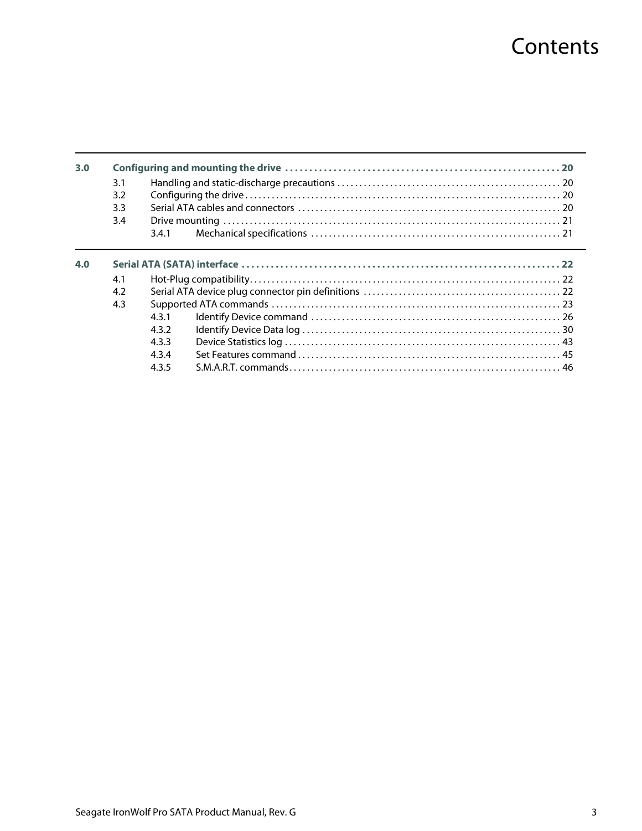# **Contents**

| 3.0 | 3.1<br>3.2<br>3.3<br>3.4 | 3.4.1 |  |  |
|-----|--------------------------|-------|--|--|
| 4.0 |                          |       |  |  |
|     | 4.1                      |       |  |  |
|     | 4.2                      |       |  |  |
|     | 4.3                      |       |  |  |
|     |                          | 431   |  |  |
|     |                          | 4.3.2 |  |  |
|     |                          | 4.3.3 |  |  |
|     |                          | 4.3.4 |  |  |
|     |                          | 4.3.5 |  |  |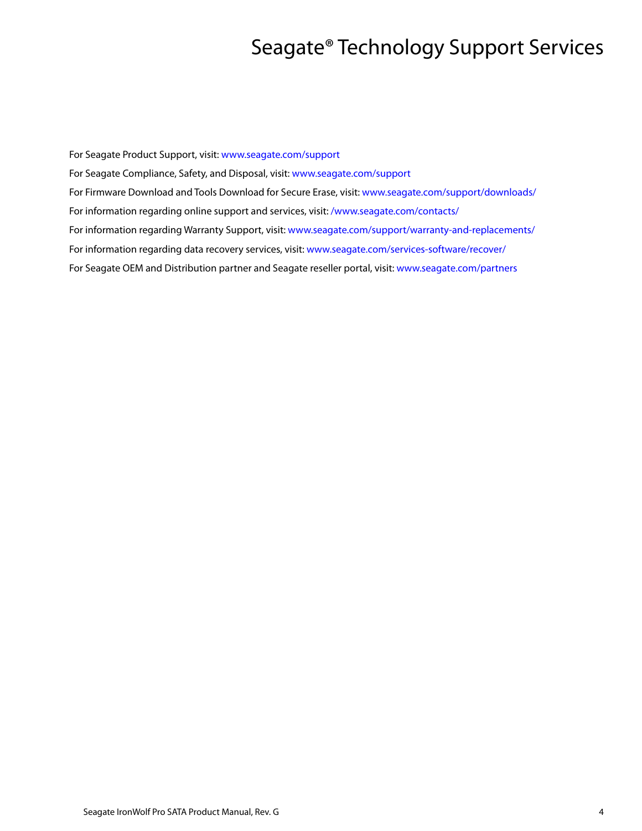# Seagate® Technology Support Services

<span id="page-4-0"></span>For Seagate Product Support, visit: [www.seagate.com/support](https://www.seagate.com/support) For Seagate Compliance, Safety, and Disposal, visit: [www.seagate.com/support](https://www.seagate.com/support) [For Firmware Download and Tools Download for Secure Erase, visit:](https://www.seagate.com/support/downloads/) www.seagate.com/support/downloads/ For information regarding online support and services, visit: [/www.seagate.com/contacts/](http://www.seagate.com/contacts/) [For information regarding Warranty Support, visit: w](http://www.seagate.com/support/warranty-and-replacements/)ww.seagate.com/support/warranty-and-replacements/ For information regarding data recovery services, visit: [www.seagate.com/services-software/recover/](http://www.seagate.com/services-software/seagate-recovery-services/recover/) [For Seagate OEM and Distribution partner and Seagate reseller portal, visit:](http://www.seagate.com/partners) www.seagate.com/partners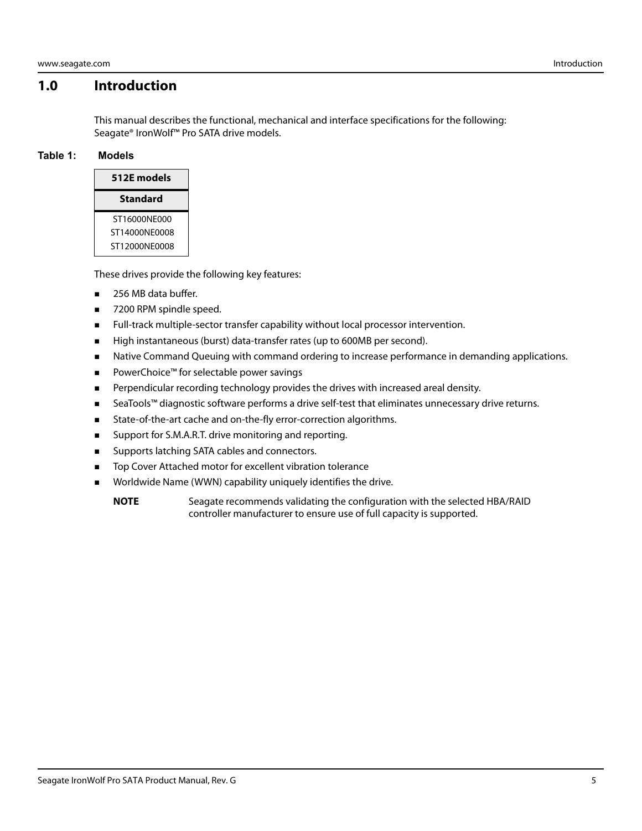# <span id="page-5-0"></span>**1.0 Introduction**

This manual describes the functional, mechanical and interface specifications for the following: Seagate® IronWolf™ Pro SATA drive models.

#### **Table 1: Models**

| 512E models     |  |
|-----------------|--|
| <b>Standard</b> |  |
| ST16000NF000    |  |
| ST14000NF0008   |  |
| ST12000NF0008   |  |

These drives provide the following key features:

- 256 MB data buffer.
- 7200 RPM spindle speed.
- **Full-track multiple-sector transfer capability without local processor intervention.**
- High instantaneous (burst) data-transfer rates (up to 600MB per second).
- **Native Command Queuing with command ordering to increase performance in demanding applications.**
- PowerChoice™ for selectable power savings
- **Perpendicular recording technology provides the drives with increased areal density.**
- SeaTools™ diagnostic software performs a drive self-test that eliminates unnecessary drive returns.
- State-of-the-art cache and on-the-fly error-correction algorithms.
- Support for S.M.A.R.T. drive monitoring and reporting.
- **Supports latching SATA cables and connectors.**
- Top Cover Attached motor for excellent vibration tolerance
- **Norldwide Name (WWN) capability uniquely identifies the drive.** 
	- **NOTE** Seagate recommends validating the configuration with the selected HBA/RAID controller manufacturer to ensure use of full capacity is supported.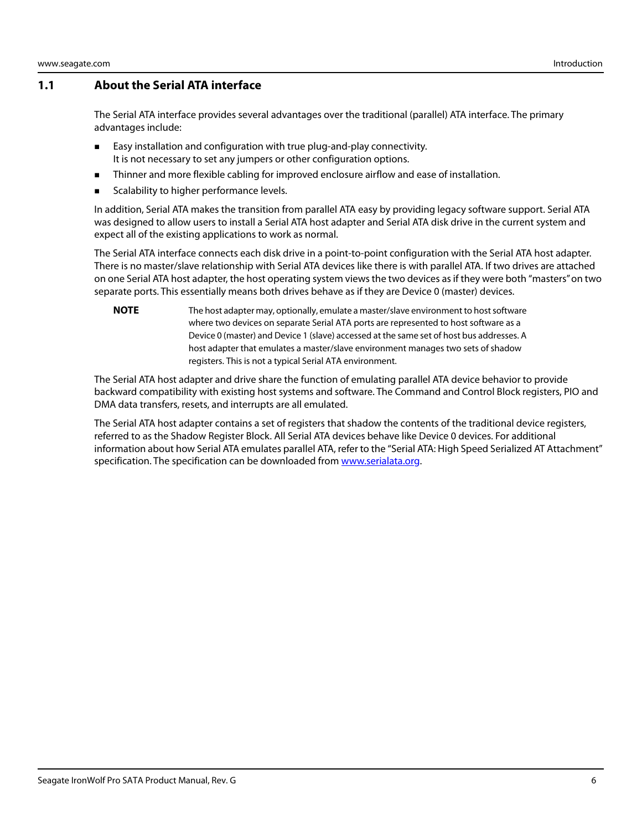#### <span id="page-6-0"></span>**1.1 About the Serial ATA interface**

The Serial ATA interface provides several advantages over the traditional (parallel) ATA interface. The primary advantages include:

- **Easy installation and configuration with true plug-and-play connectivity.** It is not necessary to set any jumpers or other configuration options.
- **Thinner and more flexible cabling for improved enclosure airflow and ease of installation.**
- Scalability to higher performance levels.

In addition, Serial ATA makes the transition from parallel ATA easy by providing legacy software support. Serial ATA was designed to allow users to install a Serial ATA host adapter and Serial ATA disk drive in the current system and expect all of the existing applications to work as normal.

The Serial ATA interface connects each disk drive in a point-to-point configuration with the Serial ATA host adapter. There is no master/slave relationship with Serial ATA devices like there is with parallel ATA. If two drives are attached on one Serial ATA host adapter, the host operating system views the two devices as if they were both "masters" on two separate ports. This essentially means both drives behave as if they are Device 0 (master) devices.

**NOTE** The host adapter may, optionally, emulate a master/slave environment to host software where two devices on separate Serial ATA ports are represented to host software as a Device 0 (master) and Device 1 (slave) accessed at the same set of host bus addresses. A host adapter that emulates a master/slave environment manages two sets of shadow registers. This is not a typical Serial ATA environment.

The Serial ATA host adapter and drive share the function of emulating parallel ATA device behavior to provide backward compatibility with existing host systems and software. The Command and Control Block registers, PIO and DMA data transfers, resets, and interrupts are all emulated.

The Serial ATA host adapter contains a set of registers that shadow the contents of the traditional device registers, referred to as the Shadow Register Block. All Serial ATA devices behave like Device 0 devices. For additional information about how Serial ATA emulates parallel ATA, refer to the "Serial ATA: High Speed Serialized AT Attachment" specification. The specification can be downloaded from **[www.serialata.or](http://www.serialata.org)g**.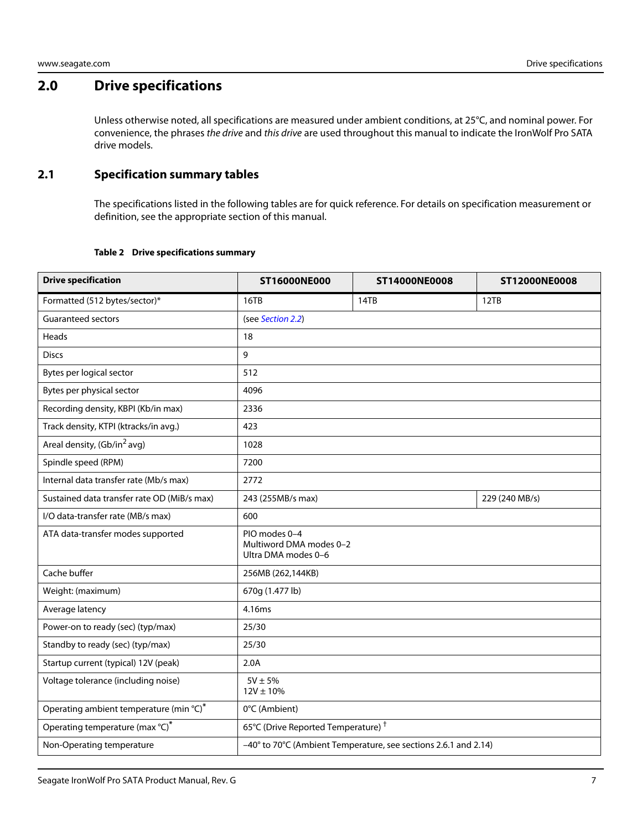# <span id="page-7-0"></span>**2.0 Drive specifications**

Unless otherwise noted, all specifications are measured under ambient conditions, at 25°C, and nominal power. For convenience, the phrases the drive and this drive are used throughout this manual to indicate the IronWolf Pro SATA drive models.

# <span id="page-7-1"></span>**2.1 Specification summary tables**

The specifications listed in the following tables are for quick reference. For details on specification measurement or definition, see the appropriate section of this manual.

#### **Table 2 Drive specifications summary**

<span id="page-7-2"></span>

| <b>Drive specification</b>                  | ST16000NE000                                                    | ST14000NE0008 | ST12000NE0008  |  |
|---------------------------------------------|-----------------------------------------------------------------|---------------|----------------|--|
| Formatted (512 bytes/sector)*               | 16TB                                                            | 14TB          | 12TB           |  |
| <b>Guaranteed sectors</b>                   | (see Section 2.2)                                               |               |                |  |
| Heads                                       | 18                                                              |               |                |  |
| <b>Discs</b>                                | 9                                                               |               |                |  |
| Bytes per logical sector                    | 512                                                             |               |                |  |
| Bytes per physical sector                   | 4096                                                            |               |                |  |
| Recording density, KBPI (Kb/in max)         | 2336                                                            |               |                |  |
| Track density, KTPI (ktracks/in avg.)       | 423                                                             |               |                |  |
| Areal density, (Gb/in <sup>2</sup> avg)     | 1028                                                            |               |                |  |
| Spindle speed (RPM)                         | 7200                                                            |               |                |  |
| Internal data transfer rate (Mb/s max)      | 2772                                                            |               |                |  |
| Sustained data transfer rate OD (MiB/s max) | 243 (255MB/s max)                                               |               | 229 (240 MB/s) |  |
| I/O data-transfer rate (MB/s max)           | 600                                                             |               |                |  |
| ATA data-transfer modes supported           | PIO modes 0-4<br>Multiword DMA modes 0-2<br>Ultra DMA modes 0-6 |               |                |  |
| Cache buffer                                | 256MB (262,144KB)                                               |               |                |  |
| Weight: (maximum)                           | 670g (1.477 lb)                                                 |               |                |  |
| Average latency                             | 4.16ms                                                          |               |                |  |
| Power-on to ready (sec) (typ/max)           | 25/30                                                           |               |                |  |
| Standby to ready (sec) (typ/max)            | 25/30                                                           |               |                |  |
| Startup current (typical) 12V (peak)        | 2.0A                                                            |               |                |  |
| Voltage tolerance (including noise)         | $5V \pm 5\%$<br>$12V \pm 10%$                                   |               |                |  |
| Operating ambient temperature (min °C)*     | 0°C (Ambient)                                                   |               |                |  |
| Operating temperature (max °C)*             | 65°C (Drive Reported Temperature) <sup>†</sup>                  |               |                |  |
| Non-Operating temperature                   | -40° to 70°C (Ambient Temperature, see sections 2.6.1 and 2.14) |               |                |  |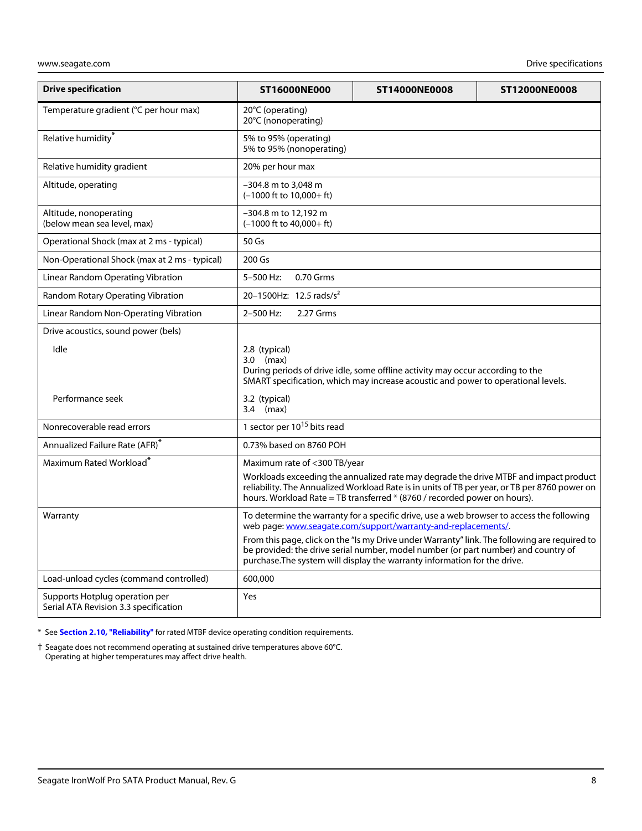| <b>Drive specification</b>                                              | ST16000NE000                                                        | ST14000NE0008                                                                                                                                                                                                                                                                                                                 | ST12000NE0008                                                                                                                                                                          |
|-------------------------------------------------------------------------|---------------------------------------------------------------------|-------------------------------------------------------------------------------------------------------------------------------------------------------------------------------------------------------------------------------------------------------------------------------------------------------------------------------|----------------------------------------------------------------------------------------------------------------------------------------------------------------------------------------|
| Temperature gradient (°C per hour max)                                  | 20°C (operating)<br>20°C (nonoperating)                             |                                                                                                                                                                                                                                                                                                                               |                                                                                                                                                                                        |
| Relative humidity*                                                      | 5% to 95% (operating)<br>5% to 95% (nonoperating)                   |                                                                                                                                                                                                                                                                                                                               |                                                                                                                                                                                        |
| Relative humidity gradient                                              | 20% per hour max                                                    |                                                                                                                                                                                                                                                                                                                               |                                                                                                                                                                                        |
| Altitude, operating                                                     | -304.8 m to 3,048 m<br>$(-1000 \text{ ft to } 10.000 + \text{ ft})$ |                                                                                                                                                                                                                                                                                                                               |                                                                                                                                                                                        |
| Altitude, nonoperating<br>(below mean sea level, max)                   | -304.8 m to 12,192 m<br>$(-1000$ ft to $40,000+$ ft)                |                                                                                                                                                                                                                                                                                                                               |                                                                                                                                                                                        |
| Operational Shock (max at 2 ms - typical)                               | 50 Gs                                                               |                                                                                                                                                                                                                                                                                                                               |                                                                                                                                                                                        |
| Non-Operational Shock (max at 2 ms - typical)                           | 200 Gs                                                              |                                                                                                                                                                                                                                                                                                                               |                                                                                                                                                                                        |
| Linear Random Operating Vibration                                       | 5-500 Hz:<br>0.70 Grms                                              |                                                                                                                                                                                                                                                                                                                               |                                                                                                                                                                                        |
| Random Rotary Operating Vibration                                       | 20-1500Hz: 12.5 rads/s <sup>2</sup>                                 |                                                                                                                                                                                                                                                                                                                               |                                                                                                                                                                                        |
| Linear Random Non-Operating Vibration                                   | 2-500 Hz:<br>2.27 Grms                                              |                                                                                                                                                                                                                                                                                                                               |                                                                                                                                                                                        |
| Drive acoustics, sound power (bels)                                     |                                                                     |                                                                                                                                                                                                                                                                                                                               |                                                                                                                                                                                        |
| Idle                                                                    | 2.8 (typical)<br>$3.0$ (max)                                        | During periods of drive idle, some offline activity may occur according to the<br>SMART specification, which may increase acoustic and power to operational levels.                                                                                                                                                           |                                                                                                                                                                                        |
| Performance seek                                                        | 3.2 (typical)<br>$3.4$ (max)                                        |                                                                                                                                                                                                                                                                                                                               |                                                                                                                                                                                        |
| Nonrecoverable read errors                                              | 1 sector per 10 <sup>15</sup> bits read                             |                                                                                                                                                                                                                                                                                                                               |                                                                                                                                                                                        |
| Annualized Failure Rate (AFR)*                                          | 0.73% based on 8760 POH                                             |                                                                                                                                                                                                                                                                                                                               |                                                                                                                                                                                        |
| Maximum Rated Workload <sup>*</sup>                                     | Maximum rate of <300 TB/year                                        | hours. Workload Rate = TB transferred * (8760 / recorded power on hours).                                                                                                                                                                                                                                                     | Workloads exceeding the annualized rate may degrade the drive MTBF and impact product<br>reliability. The Annualized Workload Rate is in units of TB per year, or TB per 8760 power on |
| Warranty                                                                |                                                                     | To determine the warranty for a specific drive, use a web browser to access the following<br>web page: www.seagate.com/support/warranty-and-replacements/.<br>be provided: the drive serial number, model number (or part number) and country of<br>purchase. The system will display the warranty information for the drive. | From this page, click on the "Is my Drive under Warranty" link. The following are required to                                                                                          |
| Load-unload cycles (command controlled)                                 | 600,000                                                             |                                                                                                                                                                                                                                                                                                                               |                                                                                                                                                                                        |
| Supports Hotplug operation per<br>Serial ATA Revision 3.3 specification | Yes                                                                 |                                                                                                                                                                                                                                                                                                                               |                                                                                                                                                                                        |

<span id="page-8-1"></span>\* See **[Section 2.10, "Reliability"](#page-17-0)** for rated MTBF device operating condition requirements.

<span id="page-8-0"></span>† Seagate does not recommend operating at sustained drive temperatures above 60°C. Operating at higher temperatures may affect drive health.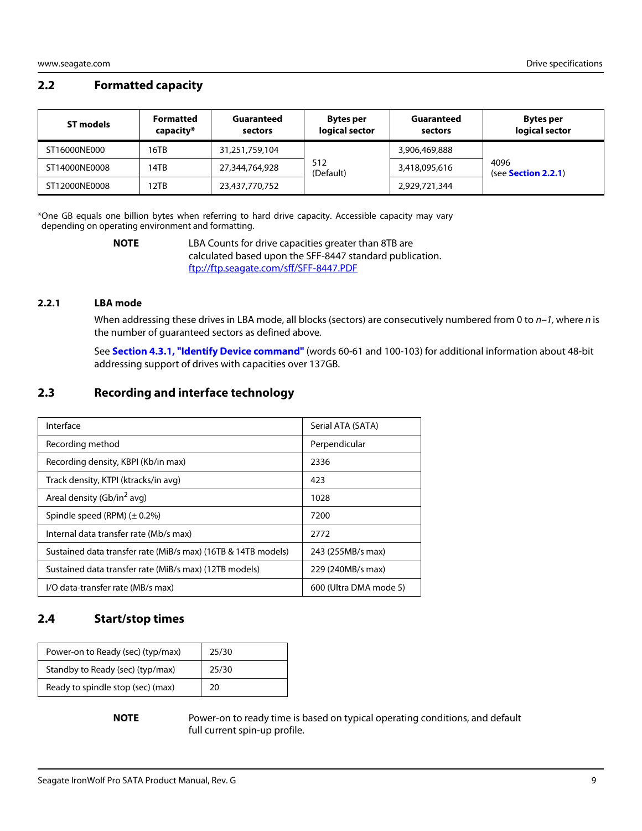#### <span id="page-9-0"></span>**2.2 Formatted capacity**

| ST models     | <b>Formatted</b><br>capacity* | Guaranteed<br>sectors | Bytes per<br>logical sector | Guaranteed<br>sectors | <b>Bytes per</b><br>logical sector  |
|---------------|-------------------------------|-----------------------|-----------------------------|-----------------------|-------------------------------------|
| ST16000NE000  | 16TB                          | 31,251,759,104        |                             | 3,906,469,888         |                                     |
| ST14000NE0008 | 14TB                          | 27,344,764,928        | 512<br>(Default)            | 3,418,095,616         | 4096<br>(see <b>Section 2.2.1</b> ) |
| ST12000NE0008 | 12TB                          | 23,437,770,752        |                             | 2,929,721,344         |                                     |

\*One GB equals one billion bytes when referring to hard drive capacity. Accessible capacity may vary depending on operating environment and formatting.

**NOTE** LBA Counts for drive capacities greater than 8TB are calculated based upon the SFF-8447 standard publication. [ftp://ftp.seag](ftp://ftp.seagate.com/sff/SFF-8447.PDF)ate.com/sff/SFF-8447.PDF

#### <span id="page-9-1"></span>**2.2.1 LBA mode**

When addressing these drives in LBA mode, all blocks (sectors) are consecutively numbered from 0 to  $n-1$ , where n is the number of guaranteed sectors as defined above.

See **[Section 4.3.1, "Identify Device command"](#page-26-0)** (words 60-61 and 100-103) for additional information about 48-bit addressing support of drives with capacities over 137GB.

# <span id="page-9-2"></span>**2.3 Recording and interface technology**

| Interface                                                     | Serial ATA (SATA)      |
|---------------------------------------------------------------|------------------------|
| Recording method                                              | Perpendicular          |
| Recording density, KBPI (Kb/in max)                           | 2336                   |
| Track density, KTPI (ktracks/in avg)                          | 423                    |
| Areal density (Gb/in <sup>2</sup> avg)                        | 1028                   |
| Spindle speed (RPM) $(\pm 0.2\%)$                             | 7200                   |
| Internal data transfer rate (Mb/s max)                        | 2772                   |
| Sustained data transfer rate (MiB/s max) (16TB & 14TB models) | 243 (255MB/s max)      |
| Sustained data transfer rate (MiB/s max) (12TB models)        | 229 (240MB/s max)      |
| I/O data-transfer rate (MB/s max)                             | 600 (Ultra DMA mode 5) |

### <span id="page-9-3"></span>**2.4 Start/stop times**

| Power-on to Ready (sec) (typ/max) | 25/30 |
|-----------------------------------|-------|
| Standby to Ready (sec) (typ/max)  | 25/30 |
| Ready to spindle stop (sec) (max) | 20    |

**NOTE** Power-on to ready time is based on typical operating conditions, and default full current spin-up profile.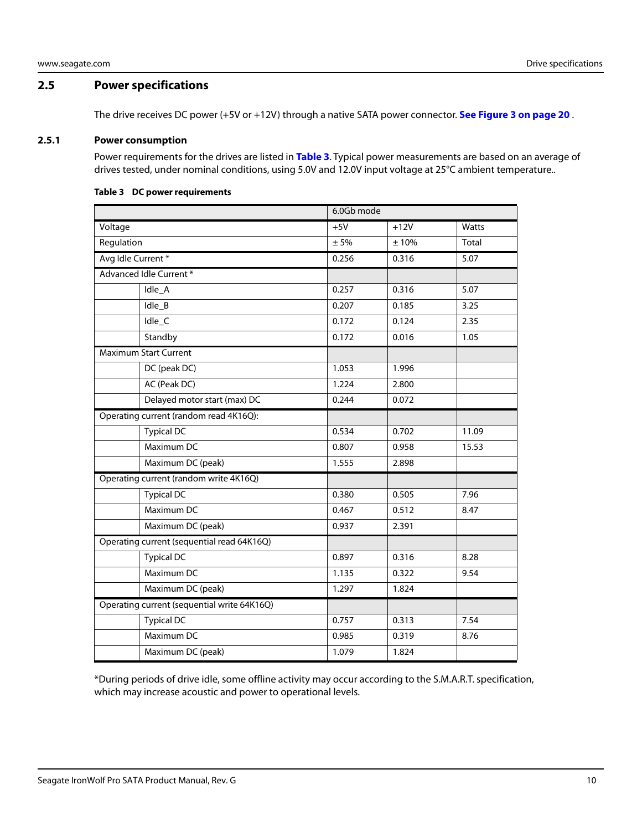#### <span id="page-10-0"></span>**2.5 Power specifications**

The drive receives DC power (+5V or +12V) through a native SATA power connector. **[See Figure 3 on page 20](#page-20-4)** .

#### <span id="page-10-1"></span>**2.5.1 Power consumption**

Power requirements for the drives are listed in **Table 3**. Typical power measurements are based on an average of drives tested, under nominal conditions, using 5.0V and 12.0V input voltage at 25°C ambient temperature..

|                                             |                                            | 6.0Gb mode |        |       |
|---------------------------------------------|--------------------------------------------|------------|--------|-------|
| Voltage                                     |                                            | $+5V$      | $+12V$ | Watts |
| Regulation                                  |                                            | ± 5%       | ±10%   | Total |
| Avg Idle Current *                          |                                            | 0.256      | 0.316  | 5.07  |
|                                             | Advanced Idle Current*                     |            |        |       |
|                                             | Idle_A                                     | 0.257      | 0.316  | 5.07  |
|                                             | Idle B                                     | 0.207      | 0.185  | 3.25  |
|                                             | Idle_C                                     | 0.172      | 0.124  | 2.35  |
|                                             | Standby                                    | 0.172      | 0.016  | 1.05  |
|                                             | <b>Maximum Start Current</b>               |            |        |       |
|                                             | DC (peak DC)                               | 1.053      | 1.996  |       |
|                                             | AC (Peak DC)                               | 1.224      | 2.800  |       |
|                                             | Delayed motor start (max) DC               | 0.244      | 0.072  |       |
| Operating current (random read 4K16Q):      |                                            |            |        |       |
|                                             | <b>Typical DC</b>                          | 0.534      | 0.702  | 11.09 |
|                                             | Maximum DC                                 | 0.807      | 0.958  | 15.53 |
|                                             | Maximum DC (peak)                          | 1.555      | 2.898  |       |
| Operating current (random write 4K16Q)      |                                            |            |        |       |
|                                             | <b>Typical DC</b>                          | 0.380      | 0.505  | 7.96  |
|                                             | Maximum DC                                 | 0.467      | 0.512  | 8.47  |
|                                             | Maximum DC (peak)                          | 0.937      | 2.391  |       |
|                                             | Operating current (sequential read 64K16Q) |            |        |       |
|                                             | <b>Typical DC</b>                          | 0.897      | 0.316  | 8.28  |
|                                             | Maximum DC                                 | 1.135      | 0.322  | 9.54  |
|                                             | Maximum DC (peak)                          | 1.297      | 1.824  |       |
| Operating current (sequential write 64K16Q) |                                            |            |        |       |
|                                             | <b>Typical DC</b>                          | 0.757      | 0.313  | 7.54  |
|                                             | Maximum DC                                 | 0.985      | 0.319  | 8.76  |
|                                             | Maximum DC (peak)                          | 1.079      | 1.824  |       |

#### **Table 3 DC power requirements**

\*During periods of drive idle, some offline activity may occur according to the S.M.A.R.T. specification, which may increase acoustic and power to operational levels.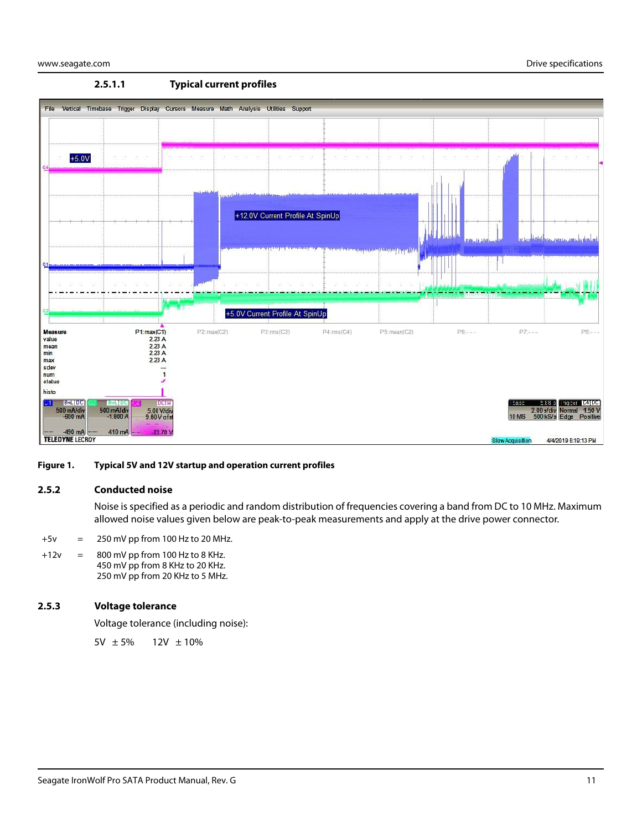

#### **Figure 1. Typical 5V and 12V startup and operation current profiles**

#### <span id="page-11-0"></span>**2.5.2 Conducted noise**

Noise is specified as a periodic and random distribution of frequencies covering a band from DC to 10 MHz. Maximum allowed noise values given below are peak-to-peak measurements and apply at the drive power connector.

#### $+5v = 250$  mV pp from 100 Hz to 20 MHz.

 $+12v = 800$  mV pp from 100 Hz to 8 KHz. 450 mV pp from 8 KHz to 20 KHz. 250 mV pp from 20 KHz to 5 MHz.

#### <span id="page-11-1"></span>**2.5.3 Voltage tolerance**

Voltage tolerance (including noise):

5V  $\pm 5\%$  12V  $\pm 10\%$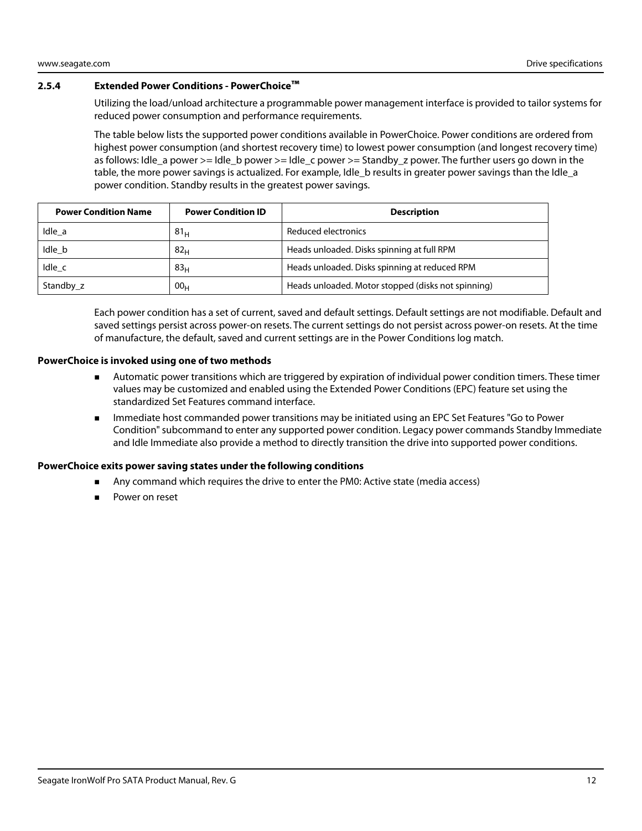#### <span id="page-12-0"></span>**2.5.4 Extended Power Conditions - PowerChoice™**

Utilizing the load/unload architecture a programmable power management interface is provided to tailor systems for reduced power consumption and performance requirements.

The table below lists the supported power conditions available in PowerChoice. Power conditions are ordered from highest power consumption (and shortest recovery time) to lowest power consumption (and longest recovery time) as follows: Idle a power  $>=$  Idle b power  $>=$  Idle c power  $>=$  Standby z power. The further users go down in the table, the more power savings is actualized. For example, Idle\_b results in greater power savings than the Idle\_a power condition. Standby results in the greatest power savings.

| <b>Power Condition Name</b> | <b>Power Condition ID</b> | <b>Description</b>                                 |
|-----------------------------|---------------------------|----------------------------------------------------|
| Idle a                      | 81 <sub>H</sub>           | Reduced electronics                                |
| Idle b                      | 82 <sub>H</sub>           | Heads unloaded. Disks spinning at full RPM         |
| Idle c                      | 83 <sub>H</sub>           | Heads unloaded. Disks spinning at reduced RPM      |
| Standby z                   | 00 <sub>H</sub>           | Heads unloaded. Motor stopped (disks not spinning) |

Each power condition has a set of current, saved and default settings. Default settings are not modifiable. Default and saved settings persist across power-on resets. The current settings do not persist across power-on resets. At the time of manufacture, the default, saved and current settings are in the Power Conditions log match.

#### **PowerChoice is invoked using one of two methods**

- Automatic power transitions which are triggered by expiration of individual power condition timers. These timer values may be customized and enabled using the Extended Power Conditions (EPC) feature set using the standardized Set Features command interface.
- Immediate host commanded power transitions may be initiated using an EPC Set Features "Go to Power Condition" subcommand to enter any supported power condition. Legacy power commands Standby Immediate and Idle Immediate also provide a method to directly transition the drive into supported power conditions.

#### **PowerChoice exits power saving states under the following conditions**

- Any command which requires the drive to enter the PM0: Active state (media access)
- Power on reset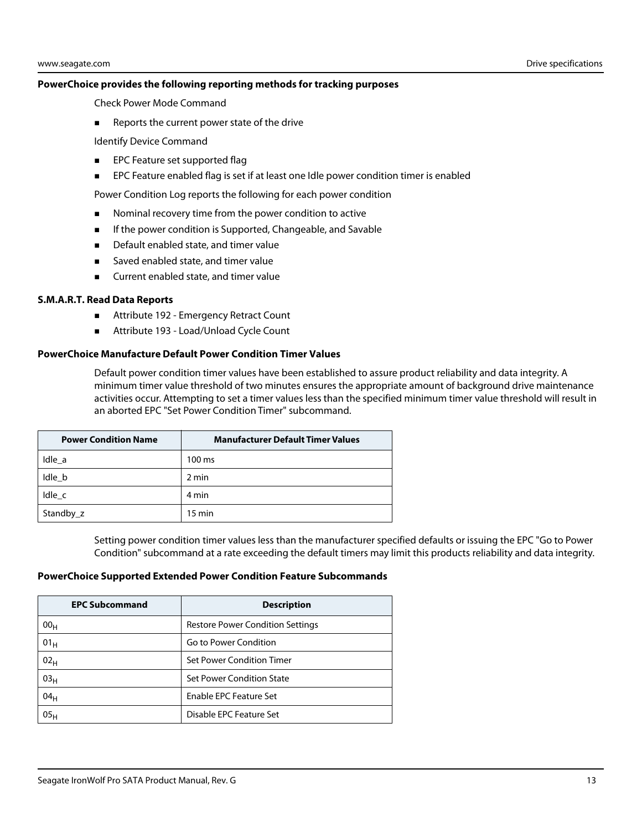#### **PowerChoice provides the following reporting methods for tracking purposes**

Check Power Mode Command

Reports the current power state of the drive

Identify Device Command

- **EPC Feature set supported flag**
- **EPC Feature enabled flag is set if at least one Idle power condition timer is enabled**

Power Condition Log reports the following for each power condition

- Nominal recovery time from the power condition to active
- **If the power condition is Supported, Changeable, and Savable**
- Default enabled state, and timer value
- Saved enabled state, and timer value
- **EXECUTE CUTTENT** Current enabled state, and timer value

#### **S.M.A.R.T. Read Data Reports**

- Attribute 192 Emergency Retract Count
- Attribute 193 Load/Unload Cycle Count

#### **PowerChoice Manufacture Default Power Condition Timer Values**

Default power condition timer values have been established to assure product reliability and data integrity. A minimum timer value threshold of two minutes ensures the appropriate amount of background drive maintenance activities occur. Attempting to set a timer values less than the specified minimum timer value threshold will result in an aborted EPC "Set Power Condition Timer" subcommand.

| <b>Power Condition Name</b> | <b>Manufacturer Default Timer Values</b> |
|-----------------------------|------------------------------------------|
| Idle a                      | 100 ms                                   |
| Idle b                      | 2 min                                    |
| Idle c                      | 4 min                                    |
| Standby_z                   | $15 \text{ min}$                         |

Setting power condition timer values less than the manufacturer specified defaults or issuing the EPC "Go to Power Condition" subcommand at a rate exceeding the default timers may limit this products reliability and data integrity.

#### **PowerChoice Supported Extended Power Condition Feature Subcommands**

| <b>EPC Subcommand</b> | <b>Description</b>                      |
|-----------------------|-----------------------------------------|
| 00 <sub>H</sub>       | <b>Restore Power Condition Settings</b> |
| 01 <sub>H</sub>       | Go to Power Condition                   |
| 02 <sub>H</sub>       | Set Power Condition Timer               |
| 03 <sub>H</sub>       | Set Power Condition State               |
| 04 <sub>H</sub>       | Enable EPC Feature Set                  |
| 05 <sub>H</sub>       | Disable EPC Feature Set                 |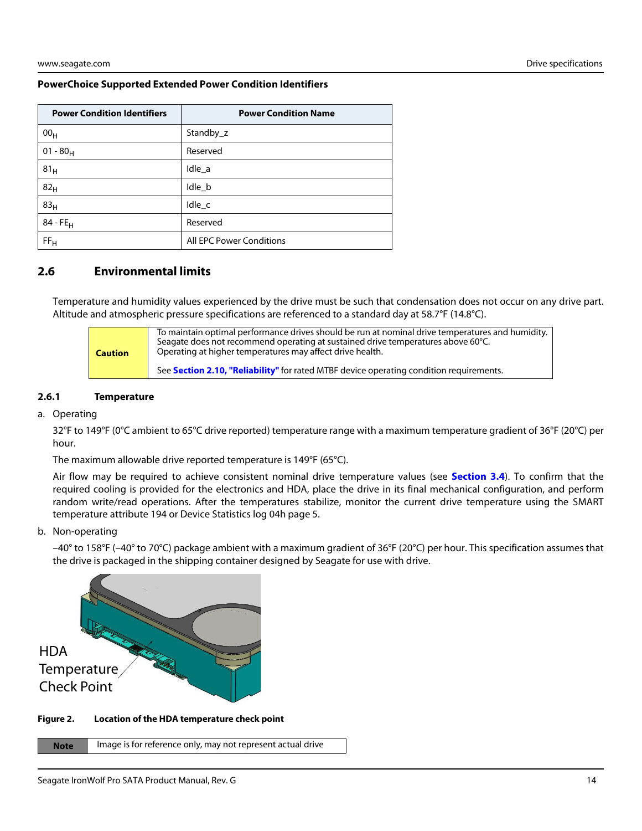#### **PowerChoice Supported Extended Power Condition Identifiers**

| <b>Power Condition Identifiers</b> | <b>Power Condition Name</b>     |
|------------------------------------|---------------------------------|
| 00 <sub>H</sub>                    | Standby_z                       |
| $01 - 80_H$                        | Reserved                        |
| 81 <sub>H</sub>                    | Idle_a                          |
| 82 <sub>H</sub>                    | Idle_b                          |
| 83 <sub>H</sub>                    | Idle_c                          |
| $84 - FE_H$                        | Reserved                        |
| FF <sub>H</sub>                    | <b>All EPC Power Conditions</b> |

#### <span id="page-14-0"></span>**2.6 Environmental limits**

Temperature and humidity values experienced by the drive must be such that condensation does not occur on any drive part. Altitude and atmospheric pressure specifications are referenced to a standard day at 58.7°F (14.8°C).

| <b>Caution</b> | To maintain optimal performance drives should be run at nominal drive temperatures and humidity.<br>Seagate does not recommend operating at sustained drive temperatures above 60°C.<br>Operating at higher temperatures may affect drive health. |
|----------------|---------------------------------------------------------------------------------------------------------------------------------------------------------------------------------------------------------------------------------------------------|
|                | See Section 2.10, "Reliability" for rated MTBF device operating condition requirements.                                                                                                                                                           |

#### <span id="page-14-1"></span>**2.6.1 Temperature**

a. Operating

32°F to 149°F (0°C ambient to 65°C drive reported) temperature range with a maximum temperature gradient of 36°F (20°C) per hour.

The maximum allowable drive reported temperature is 149°F (65°C).

Air flow may be required to achieve consistent nominal drive temperature values (see **[Section 3.4](#page-21-0)**). To confirm that the required cooling is provided for the electronics and HDA, place the drive in its final mechanical configuration, and perform random write/read operations. After the temperatures stabilize, monitor the current drive temperature using the SMART temperature attribute 194 or Device Statistics log 04h page 5.

#### b. Non-operating

–40° to 158°F (–40° to 70°C) package ambient with a maximum gradient of 36°F (20°C) per hour. This specification assumes that the drive is packaged in the shipping container designed by Seagate for use with drive.



**Figure 2. Location of the HDA temperature check point**

**Note** Image is for reference only, may not represent actual drive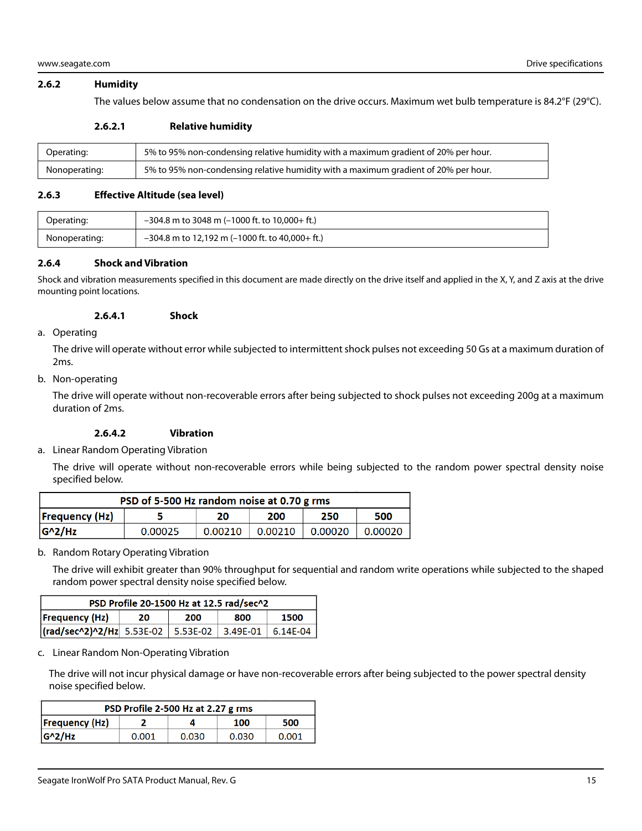#### <span id="page-15-0"></span>**2.6.2 Humidity**

The values below assume that no condensation on the drive occurs. Maximum wet bulb temperature is 84.2°F (29°C).

#### **2.6.2.1 Relative humidity**

| Operating:    | 5% to 95% non-condensing relative humidity with a maximum gradient of 20% per hour. |
|---------------|-------------------------------------------------------------------------------------|
| Nonoperating: | 5% to 95% non-condensing relative humidity with a maximum gradient of 20% per hour. |

#### <span id="page-15-1"></span>**2.6.3 Effective Altitude (sea level)**

| Operating:    | $-304.8$ m to 3048 m (-1000 ft. to 10,000+ ft.)   |
|---------------|---------------------------------------------------|
| Nonoperating: | $-304.8$ m to 12,192 m (-1000 ft. to 40,000+ ft.) |

#### <span id="page-15-2"></span>**2.6.4 Shock and Vibration**

Shock and vibration measurements specified in this document are made directly on the drive itself and applied in the X, Y, and Z axis at the drive mounting point locations.

#### **2.6.4.1 Shock**

a. Operating

The drive will operate without error while subjected to intermittent shock pulses not exceeding 50 Gs at a maximum duration of 2ms.

#### b. Non-operating

The drive will operate without non-recoverable errors after being subjected to shock pulses not exceeding 200g at a maximum duration of 2ms.

#### **2.6.4.2 Vibration**

a. Linear Random Operating Vibration

The drive will operate without non-recoverable errors while being subjected to the random power spectral density noise specified below.

| PSD of 5-500 Hz random noise at 0.70 g rms |         |         |         |         |         |
|--------------------------------------------|---------|---------|---------|---------|---------|
| <b>Frequency (Hz)</b>                      |         | 20      | 200     | 250     | 500     |
| $G^2/Hz$                                   | 0.00025 | 0.00210 | 0.00210 | 0.00020 | 0.00020 |

#### b. Random Rotary Operating Vibration

The drive will exhibit greater than 90% throughput for sequential and random write operations while subjected to the shaped random power spectral density noise specified below.

| PSD Profile 20-1500 Hz at 12.5 rad/sec^2                     |    |            |     |      |
|--------------------------------------------------------------|----|------------|-----|------|
| Frequency(Hz)                                                | 20 | <b>200</b> | 800 | 1500 |
| $\vert$ (rad/sec^2)^2/Hz 5.53E-02 5.53E-02 3.49E-01 6.14E-04 |    |            |     |      |

#### c. Linear Random Non-Operating Vibration

The drive will not incur physical damage or have non-recoverable errors after being subjected to the power spectral density noise specified below.

| PSD Profile 2-500 Hz at 2.27 g rms |       |       |       |       |
|------------------------------------|-------|-------|-------|-------|
| Frequency(Hz)                      |       |       | 100   | 500   |
| $ G^2/Hz $                         | 0.001 | 0.030 | 0.030 | 0.001 |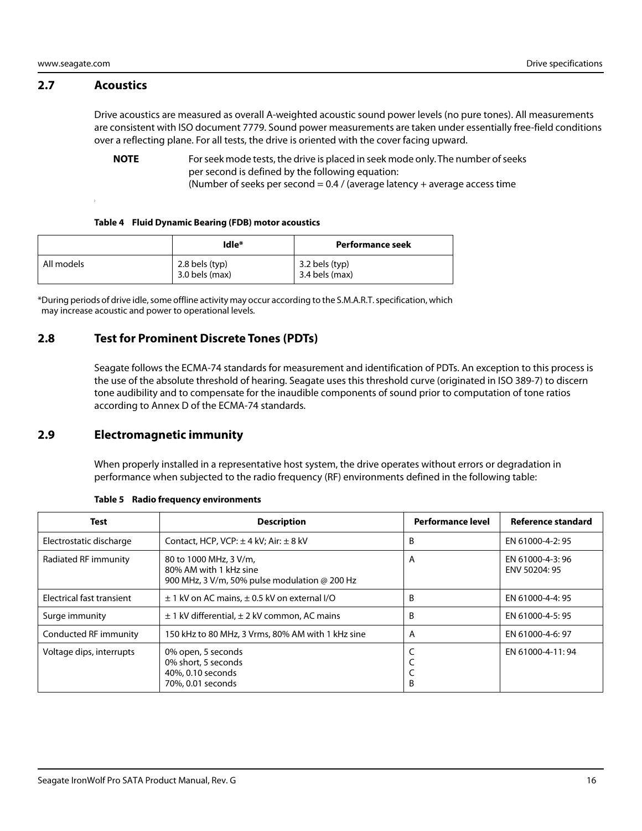#### <span id="page-16-0"></span>**2.7 Acoustics**

Drive acoustics are measured as overall A-weighted acoustic sound power levels (no pure tones). All measurements are consistent with ISO document 7779. Sound power measurements are taken under essentially free-field conditions over a reflecting plane. For all tests, the drive is oriented with the cover facing upward.

**NOTE** For seek mode tests, the drive is placed in seek mode only. The number of seeks per second is defined by the following equation:

(Number of seeks per second =  $0.4$  / (average latency + average access time

#### **Table 4 Fluid Dynamic Bearing (FDB) motor acoustics**

|            | Idle*                              | Performance seek                   |
|------------|------------------------------------|------------------------------------|
| All models | 2.8 bels (typ)<br>$3.0$ bels (max) | 3.2 bels (typ)<br>$3.4$ bels (max) |

\*During periods of drive idle, some offline activity may occur according to the S.M.A.R.T. specification, which may increase acoustic and power to operational levels.

#### <span id="page-16-1"></span>**2.8 Test for Prominent Discrete Tones (PDTs)**

Seagate follows the ECMA-74 standards for measurement and identification of PDTs. An exception to this process is the use of the absolute threshold of hearing. Seagate uses this threshold curve (originated in ISO 389-7) to discern tone audibility and to compensate for the inaudible components of sound prior to computation of tone ratios according to Annex D of the ECMA-74 standards.

### <span id="page-16-2"></span>**2.9 Electromagnetic immunity**

When properly installed in a representative host system, the drive operates without errors or degradation in performance when subjected to the radio frequency (RF) environments defined in the following table:

| Test                      | <b>Description</b>                                                                                       | <b>Performance level</b> | Reference standard                |
|---------------------------|----------------------------------------------------------------------------------------------------------|--------------------------|-----------------------------------|
| Electrostatic discharge   | Contact, HCP, VCP: $\pm$ 4 kV; Air: $\pm$ 8 kV                                                           | B                        | EN 61000-4-2: 95                  |
| Radiated RF immunity      | 80 to 1000 MHz, 3 V/m,<br>80% AM with 1 kHz sine<br>900 MHz, 3 V/m, 50% pulse modulation $\omega$ 200 Hz | A                        | EN 61000-4-3: 96<br>ENV 50204: 95 |
| Electrical fast transient | $\pm$ 1 kV on AC mains, $\pm$ 0.5 kV on external I/O                                                     | B                        | EN 61000-4-4: 95                  |
| Surge immunity            | $\pm$ 1 kV differential, $\pm$ 2 kV common, AC mains                                                     | B                        | EN 61000-4-5: 95                  |
| Conducted RF immunity     | 150 kHz to 80 MHz, 3 Vrms, 80% AM with 1 kHz sine                                                        | A                        | EN 61000-4-6: 97                  |
| Voltage dips, interrupts  | 0% open, 5 seconds<br>0% short, 5 seconds<br>40%, 0.10 seconds<br>70%, 0.01 seconds                      | B                        | EN 61000-4-11:94                  |

#### **Table 5 Radio frequency environments**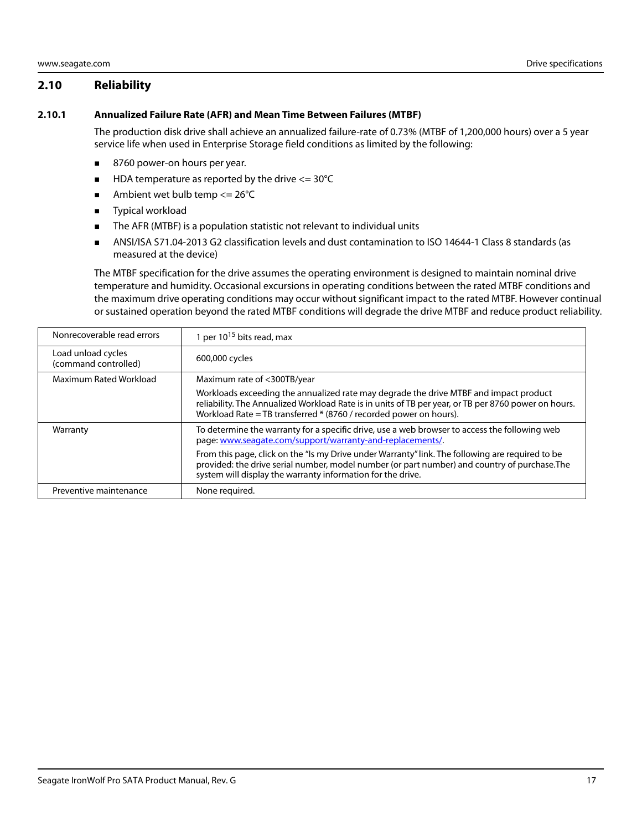### <span id="page-17-0"></span>**2.10 Reliability**

#### <span id="page-17-1"></span>**2.10.1 Annualized Failure Rate (AFR) and Mean Time Between Failures (MTBF)**

The production disk drive shall achieve an annualized failure-rate of 0.73% (MTBF of 1,200,000 hours) over a 5 year service life when used in Enterprise Storage field conditions as limited by the following:

- 8760 power-on hours per year.
- $\blacksquare$  HDA temperature as reported by the drive  $\lt$  = 30°C
- Ambient wet bulb temp  $\leq$  26°C
- **Typical workload**
- The AFR (MTBF) is a population statistic not relevant to individual units
- ANSI/ISA S71.04-2013 G2 classification levels and dust contamination to ISO 14644-1 Class 8 standards (as measured at the device)

The MTBF specification for the drive assumes the operating environment is designed to maintain nominal drive temperature and humidity. Occasional excursions in operating conditions between the rated MTBF conditions and the maximum drive operating conditions may occur without significant impact to the rated MTBF. However continual or sustained operation beyond the rated MTBF conditions will degrade the drive MTBF and reduce product reliability.

| Nonrecoverable read errors                 | 1 per $10^{15}$ bits read, max                                                                                                                                                                                                                                      |
|--------------------------------------------|---------------------------------------------------------------------------------------------------------------------------------------------------------------------------------------------------------------------------------------------------------------------|
| Load unload cycles<br>(command controlled) | 600,000 cycles                                                                                                                                                                                                                                                      |
| Maximum Rated Workload                     | Maximum rate of <300TB/year                                                                                                                                                                                                                                         |
|                                            | Workloads exceeding the annualized rate may degrade the drive MTBF and impact product<br>reliability. The Annualized Workload Rate is in units of TB per year, or TB per 8760 power on hours.<br>Workload Rate = TB transferred * (8760 / recorded power on hours). |
| Warranty                                   | To determine the warranty for a specific drive, use a web browser to access the following web<br>page: www.seagate.com/support/warranty-and-replacements/.                                                                                                          |
|                                            | From this page, click on the "Is my Drive under Warranty" link. The following are required to be<br>provided: the drive serial number, model number (or part number) and country of purchase. The<br>system will display the warranty information for the drive.    |
| Preventive maintenance                     | None required.                                                                                                                                                                                                                                                      |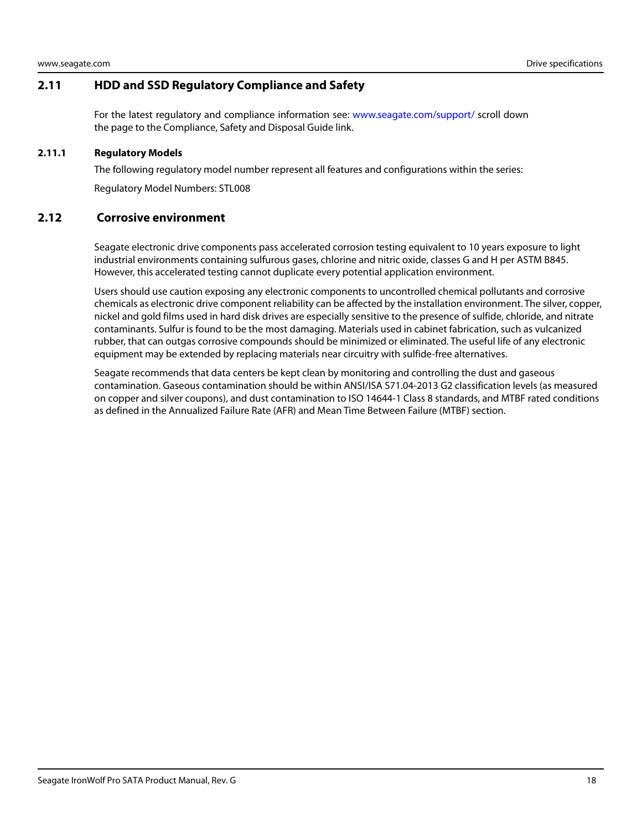### <span id="page-18-0"></span>**2.11 HDD and SSD Regulatory Compliance and Safety**

For the latest regulatory and compliance information see: [www.seagate.com/support/](https://www.seagate.com/support/) scroll down the page to the Compliance, Safety and Disposal Guide link.

#### <span id="page-18-1"></span>**2.11.1 Regulatory Models**

The following regulatory model number represent all features and configurations within the series:

Regulatory Model Numbers: STL008

#### <span id="page-18-2"></span>**2.12 Corrosive environment**

Seagate electronic drive components pass accelerated corrosion testing equivalent to 10 years exposure to light industrial environments containing sulfurous gases, chlorine and nitric oxide, classes G and H per ASTM B845. However, this accelerated testing cannot duplicate every potential application environment.

Users should use caution exposing any electronic components to uncontrolled chemical pollutants and corrosive chemicals as electronic drive component reliability can be affected by the installation environment. The silver, copper, nickel and gold films used in hard disk drives are especially sensitive to the presence of sulfide, chloride, and nitrate contaminants. Sulfur is found to be the most damaging. Materials used in cabinet fabrication, such as vulcanized rubber, that can outgas corrosive compounds should be minimized or eliminated. The useful life of any electronic equipment may be extended by replacing materials near circuitry with sulfide-free alternatives.

Seagate recommends that data centers be kept clean by monitoring and controlling the dust and gaseous contamination. Gaseous contamination should be within ANSI/ISA S71.04-2013 G2 classification levels (as measured on copper and silver coupons), and dust contamination to ISO 14644-1 Class 8 standards, and MTBF rated conditions as defined in the Annualized Failure Rate (AFR) and Mean Time Between Failure (MTBF) section.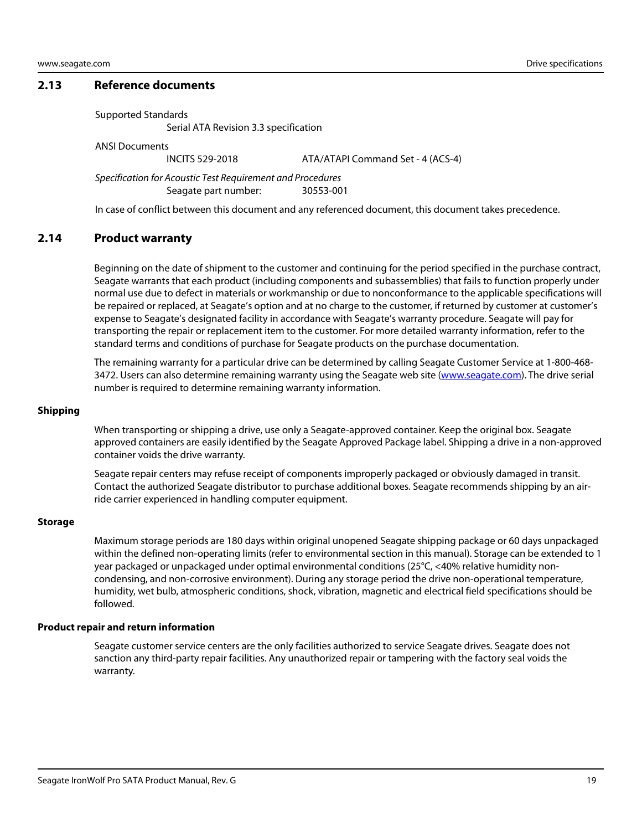#### <span id="page-19-0"></span>**2.13 Reference documents**

Supported Standards

Serial ATA Revision 3.3 specification

ANSI Documents

INCITS 529-2018 ATA/ATAPI Command Set - 4 (ACS-4)

Specification for Acoustic Test Requirement and Procedures Seagate part number: 30553-001

In case of conflict between this document and any referenced document, this document takes precedence.

#### <span id="page-19-1"></span>**2.14 Product warranty**

Beginning on the date of shipment to the customer and continuing for the period specified in the purchase contract, Seagate warrants that each product (including components and subassemblies) that fails to function properly under normal use due to defect in materials or workmanship or due to nonconformance to the applicable specifications will be repaired or replaced, at Seagate's option and at no charge to the customer, if returned by customer at customer's expense to Seagate's designated facility in accordance with Seagate's warranty procedure. Seagate will pay for transporting the repair or replacement item to the customer. For more detailed warranty information, refer to the standard terms and conditions of purchase for Seagate products on the purchase documentation.

[The remaining warranty for a particular drive can be determined by calling Seagate Customer Service at 1-800-468-](http://www.seagate.com) [3472. Users can also determine remaining warranty using the Seagate web site \(w](http://www.seagate.com)ww.seagate.com). The drive serial number is required to determine remaining warranty information.

#### **Shipping**

When transporting or shipping a drive, use only a Seagate-approved container. Keep the original box. Seagate approved containers are easily identified by the Seagate Approved Package label. Shipping a drive in a non-approved container voids the drive warranty.

Seagate repair centers may refuse receipt of components improperly packaged or obviously damaged in transit. Contact the authorized Seagate distributor to purchase additional boxes. Seagate recommends shipping by an airride carrier experienced in handling computer equipment.

#### **Storage**

Maximum storage periods are 180 days within original unopened Seagate shipping package or 60 days unpackaged within the defined non-operating limits (refer to environmental section in this manual). Storage can be extended to 1 year packaged or unpackaged under optimal environmental conditions (25°C, <40% relative humidity noncondensing, and non-corrosive environment). During any storage period the drive non-operational temperature, humidity, wet bulb, atmospheric conditions, shock, vibration, magnetic and electrical field specifications should be followed.

#### **Product repair and return information**

Seagate customer service centers are the only facilities authorized to service Seagate drives. Seagate does not sanction any third-party repair facilities. Any unauthorized repair or tampering with the factory seal voids the warranty.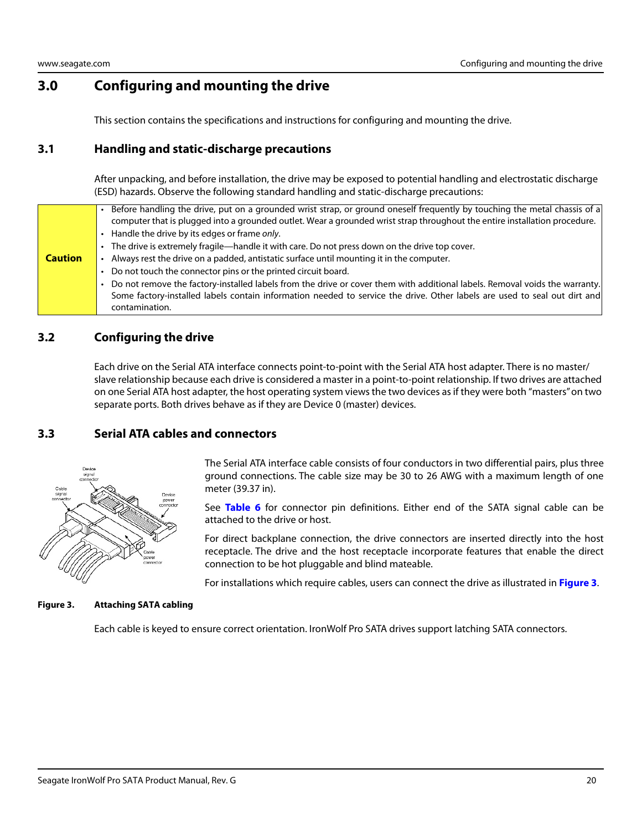# <span id="page-20-0"></span>**3.0 Configuring and mounting the drive**

This section contains the specifications and instructions for configuring and mounting the drive.

#### <span id="page-20-1"></span>**3.1 Handling and static-discharge precautions**

After unpacking, and before installation, the drive may be exposed to potential handling and electrostatic discharge (ESD) hazards. Observe the following standard handling and static-discharge precautions:

|                | Before handling the drive, put on a grounded wrist strap, or ground oneself frequently by touching the metal chassis of a<br>computer that is plugged into a grounded outlet. Wear a grounded wrist strap throughout the entire installation procedure. |
|----------------|---------------------------------------------------------------------------------------------------------------------------------------------------------------------------------------------------------------------------------------------------------|
|                | Handle the drive by its edges or frame only.                                                                                                                                                                                                            |
|                |                                                                                                                                                                                                                                                         |
|                | The drive is extremely fragile—handle it with care. Do not press down on the drive top cover.                                                                                                                                                           |
| <b>Caution</b> | Always rest the drive on a padded, antistatic surface until mounting it in the computer.                                                                                                                                                                |
|                | Do not touch the connector pins or the printed circuit board.                                                                                                                                                                                           |
|                | Do not remove the factory-installed labels from the drive or cover them with additional labels. Removal voids the warranty.                                                                                                                             |
|                | Some factory-installed labels contain information needed to service the drive. Other labels are used to seal out dirt and                                                                                                                               |
|                | contamination.                                                                                                                                                                                                                                          |

### <span id="page-20-2"></span>**3.2 Configuring the drive**

Each drive on the Serial ATA interface connects point-to-point with the Serial ATA host adapter. There is no master/ slave relationship because each drive is considered a master in a point-to-point relationship. If two drives are attached on one Serial ATA host adapter, the host operating system views the two devices as if they were both "masters" on two separate ports. Both drives behave as if they are Device 0 (master) devices.

### <span id="page-20-3"></span>**3.3 Serial ATA cables and connectors**



The Serial ATA interface cable consists of four conductors in two differential pairs, plus three ground connections. The cable size may be 30 to 26 AWG with a maximum length of one meter (39.37 in).

See **Table 6** for connector pin definitions. Either end of the SATA signal cable can be attached to the drive or host.

For direct backplane connection, the drive connectors are inserted directly into the host receptacle. The drive and the host receptacle incorporate features that enable the direct connection to be hot pluggable and blind mateable.

For installations which require cables, users can connect the drive as illustrated in **[Figure 3](#page-20-4)**.

#### <span id="page-20-4"></span>**Figure 3. Attaching SATA cabling**

Each cable is keyed to ensure correct orientation. IronWolf Pro SATA drives support latching SATA connectors.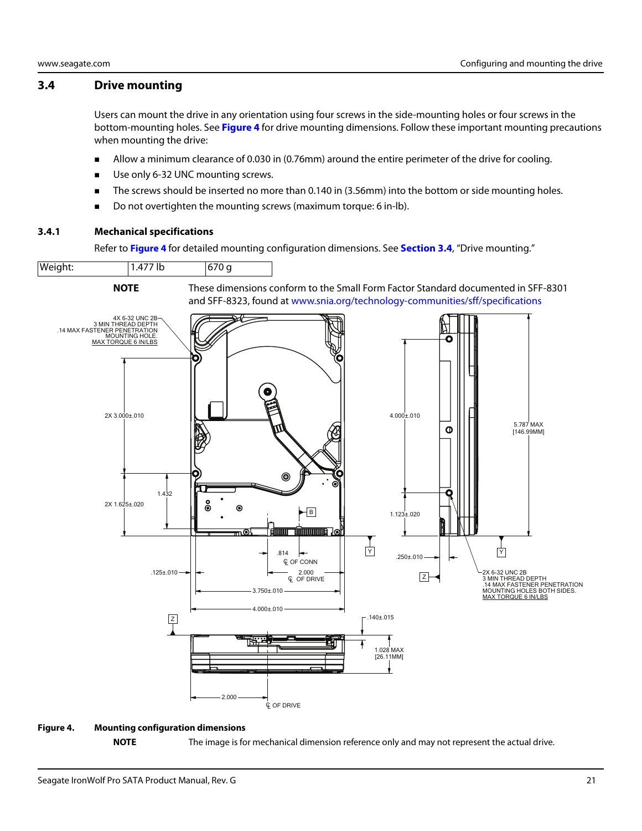#### <span id="page-21-0"></span>**3.4 Drive mounting**

Users can mount the drive in any orientation using four screws in the side-mounting holes or four screws in the bottom-mounting holes. See **[Figure 4](#page-21-2)** for drive mounting dimensions. Follow these important mounting precautions when mounting the drive:

- Allow a minimum clearance of 0.030 in (0.76mm) around the entire perimeter of the drive for cooling.
- Use only 6-32 UNC mounting screws.
- The screws should be inserted no more than 0.140 in (3.56mm) into the bottom or side mounting holes.
- Do not overtighten the mounting screws (maximum torque: 6 in-lb).

#### <span id="page-21-1"></span>**3.4.1 Mechanical specifications**

Refer to **[Figure 4](#page-21-2)** for detailed mounting configuration dimensions. See **[Section 3.4](#page-21-0)**, "Drive mounting."



#### <span id="page-21-2"></span>**Figure 4. Mounting configuration dimensions**

**NOTE** The image is for mechanical dimension reference only and may not represent the actual drive.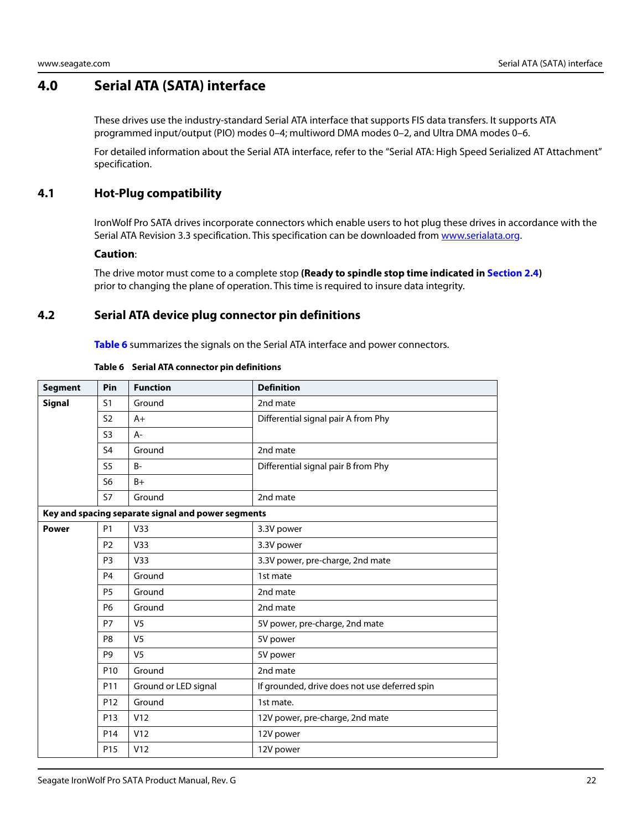# <span id="page-22-0"></span>**4.0 Serial ATA (SATA) interface**

These drives use the industry-standard Serial ATA interface that supports FIS data transfers. It supports ATA programmed input/output (PIO) modes 0–4; multiword DMA modes 0–2, and Ultra DMA modes 0–6.

For detailed information about the Serial ATA interface, refer to the "Serial ATA: High Speed Serialized AT Attachment" specification.

### <span id="page-22-1"></span>**4.1 Hot-Plug compatibility**

IronWolf Pro SATA drives incorporate connectors which enable users to hot plug these drives in accordance with the Serial ATA Revision 3.3 specification. This specification can be downloaded from [www.serialata.or](http://www.serialata.org)g.

#### **Caution**:

The drive motor must come to a complete stop **(Ready to spindle stop time indicated in [Section 2.4](#page-9-3))** prior to changing the plane of operation. This time is required to insure data integrity.

#### <span id="page-22-2"></span>**4.2 Serial ATA device plug connector pin definitions**

**Table 6** summarizes the signals on the Serial ATA interface and power connectors.

| <b>Segment</b> | Pin             | <b>Function</b>                                    | <b>Definition</b>                             |
|----------------|-----------------|----------------------------------------------------|-----------------------------------------------|
| <b>Signal</b>  | S <sub>1</sub>  | Ground                                             | 2nd mate                                      |
|                | S <sub>2</sub>  | $A+$                                               | Differential signal pair A from Phy           |
|                | S <sub>3</sub>  | $A -$                                              |                                               |
|                | S <sub>4</sub>  | Ground                                             | 2nd mate                                      |
|                | S <sub>5</sub>  | $B -$                                              | Differential signal pair B from Phy           |
|                | S <sub>6</sub>  | $B+$                                               |                                               |
|                | <b>S7</b>       | Ground                                             | 2nd mate                                      |
|                |                 | Key and spacing separate signal and power segments |                                               |
| <b>Power</b>   | <b>P1</b>       | V <sub>33</sub>                                    | 3.3V power                                    |
|                | P <sub>2</sub>  | V33                                                | 3.3V power                                    |
|                | P <sub>3</sub>  | V <sub>33</sub>                                    | 3.3V power, pre-charge, 2nd mate              |
|                | P <sub>4</sub>  | Ground                                             | 1st mate                                      |
|                | P <sub>5</sub>  | Ground                                             | 2nd mate                                      |
|                | <b>P6</b>       | Ground                                             | 2nd mate                                      |
|                | <b>P7</b>       | V <sub>5</sub>                                     | 5V power, pre-charge, 2nd mate                |
|                | P <sub>8</sub>  | V <sub>5</sub>                                     | 5V power                                      |
|                | P <sub>9</sub>  | V <sub>5</sub>                                     | 5V power                                      |
|                | P <sub>10</sub> | Ground                                             | 2nd mate                                      |
|                | P11             | Ground or LED signal                               | If grounded, drive does not use deferred spin |
|                | P <sub>12</sub> | Ground                                             | 1st mate.                                     |
|                | P <sub>13</sub> | V <sub>12</sub>                                    | 12V power, pre-charge, 2nd mate               |
|                | P <sub>14</sub> | V12                                                | 12V power                                     |
|                | P <sub>15</sub> | V12                                                | 12V power                                     |

#### **Table 6 Serial ATA connector pin definitions**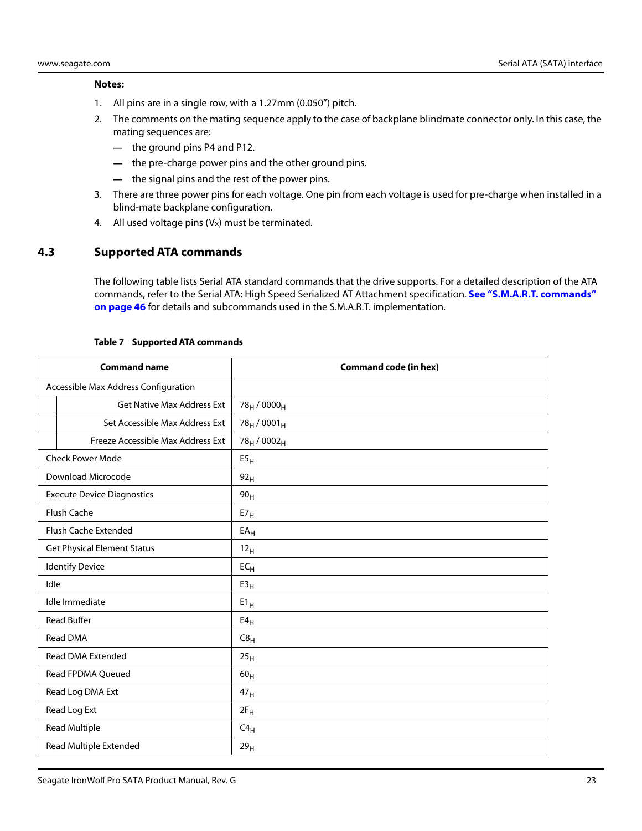#### **Notes:**

- 1. All pins are in a single row, with a 1.27mm (0.050") pitch.
- 2. The comments on the mating sequence apply to the case of backplane blindmate connector only. In this case, the mating sequences are:
	- **—** the ground pins P4 and P12.
	- **—** the pre-charge power pins and the other ground pins.
	- **—** the signal pins and the rest of the power pins.
- 3. There are three power pins for each voltage. One pin from each voltage is used for pre-charge when installed in a blind-mate backplane configuration.
- 4. All used voltage pins (Vx) must be terminated.

#### <span id="page-23-0"></span>**4.3 Supported ATA commands**

The following table lists Serial ATA standard commands that the drive supports. For a detailed description of the ATA commands, refer to the Serial ATA: High Speed Serialized AT Attachment specification. **[See "S.M.A.R.T. commands"](#page-46-0)  [on page 46](#page-46-0)** for details and subcommands used in the S.M.A.R.T. implementation.

|      | <b>Command name</b>                  | <b>Command code (in hex)</b>        |
|------|--------------------------------------|-------------------------------------|
|      | Accessible Max Address Configuration |                                     |
|      | <b>Get Native Max Address Ext</b>    | 78 <sub>H</sub> / 0000 <sub>H</sub> |
|      | Set Accessible Max Address Ext       | $78_H / 0001_H$                     |
|      | Freeze Accessible Max Address Ext    | 78 <sub>H</sub> / 0002 <sub>H</sub> |
|      | <b>Check Power Mode</b>              | E5 <sub>H</sub>                     |
|      | Download Microcode                   | 92 <sub>H</sub>                     |
|      | <b>Execute Device Diagnostics</b>    | 90 <sub>H</sub>                     |
|      | <b>Flush Cache</b>                   | E7 <sub>H</sub>                     |
|      | Flush Cache Extended                 | $EA_H$                              |
|      | <b>Get Physical Element Status</b>   | 12 <sub>H</sub>                     |
|      | <b>Identify Device</b>               | $EC_{H}$                            |
| Idle |                                      | E3 <sub>H</sub>                     |
|      | Idle Immediate                       | $E1_H$                              |
|      | <b>Read Buffer</b>                   | $E4_H$                              |
|      | Read DMA                             | C8 <sub>H</sub>                     |
|      | <b>Read DMA Extended</b>             | 25 <sub>H</sub>                     |
|      | <b>Read FPDMA Queued</b>             | 60 <sub>H</sub>                     |
|      | Read Log DMA Ext                     | 47 <sub>H</sub>                     |
|      | Read Log Ext                         | $2F_H$                              |
|      | Read Multiple                        | $C4_H$                              |
|      | Read Multiple Extended               | 29 <sub>H</sub>                     |

#### **Table 7 Supported ATA commands**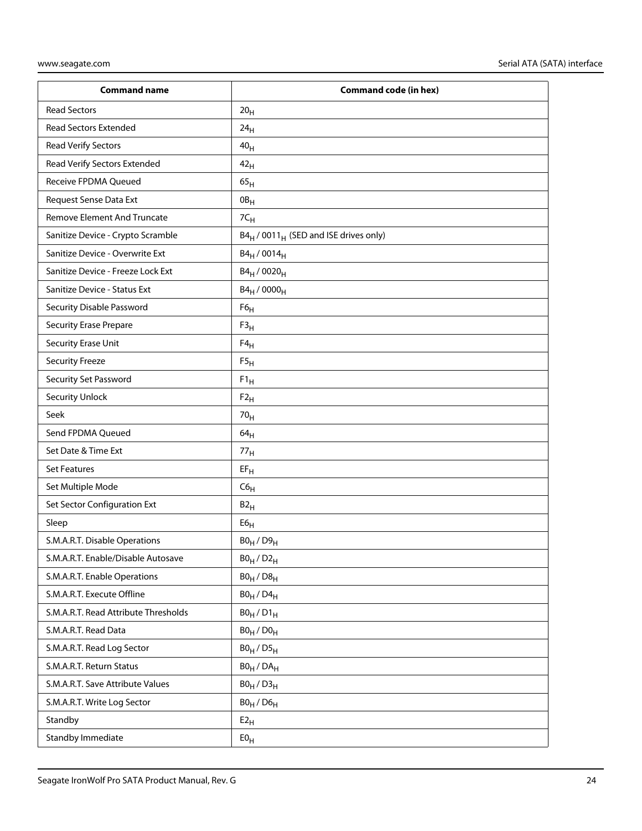| <b>Command name</b>                  | <b>Command code (in hex)</b>                                  |
|--------------------------------------|---------------------------------------------------------------|
| <b>Read Sectors</b>                  | 20 <sub>H</sub>                                               |
| <b>Read Sectors Extended</b>         | 24 <sub>H</sub>                                               |
| Read Verify Sectors                  | 40 <sub>H</sub>                                               |
| Read Verify Sectors Extended         | 42 <sub>H</sub>                                               |
| <b>Receive FPDMA Queued</b>          | 65 <sub>H</sub>                                               |
| Request Sense Data Ext               | $0B_H$                                                        |
| <b>Remove Element And Truncate</b>   | $7C_H$                                                        |
| Sanitize Device - Crypto Scramble    | B4 <sub>H</sub> / 0011 <sub>H</sub> (SED and ISE drives only) |
| Sanitize Device - Overwrite Ext      | B4 <sub>H</sub> / 0014 <sub>H</sub>                           |
| Sanitize Device - Freeze Lock Ext    | B4 <sub>H</sub> / 0020 <sub>H</sub>                           |
| Sanitize Device - Status Ext         | $B4_H / 0000_H$                                               |
| Security Disable Password            | F6 <sub>H</sub>                                               |
| <b>Security Erase Prepare</b>        | F3 <sub>H</sub>                                               |
| Security Erase Unit                  | $F4_H$                                                        |
| <b>Security Freeze</b>               | F5 <sub>H</sub>                                               |
| Security Set Password                | $F1_H$                                                        |
| <b>Security Unlock</b>               | $F2_H$                                                        |
| Seek                                 | 70 <sub>H</sub>                                               |
| Send FPDMA Queued                    | 64 <sub>H</sub>                                               |
| Set Date & Time Ext                  | 77 <sub>H</sub>                                               |
| <b>Set Features</b>                  | $EF_{H}$                                                      |
| Set Multiple Mode                    | C6 <sub>H</sub>                                               |
| Set Sector Configuration Ext         | B2 <sub>H</sub>                                               |
| Sleep                                | ${\sf E6}_{\sf H}$                                            |
| S.M.A.R.T. Disable Operations        | $B0_H / D9_H$                                                 |
| S.M.A.R.T. Enable/Disable Autosave   | $B0_H / D2_H$                                                 |
| S.M.A.R.T. Enable Operations         | $B0_H$ / $D8_H$                                               |
| S.M.A.R.T. Execute Offline           | $B0_H$ / $D4_H$                                               |
| S.M.A.R.T. Read Attribute Thresholds | $B0_H / D1_H$                                                 |
| S.M.A.R.T. Read Data                 | $B0_H / D0_H$                                                 |
| S.M.A.R.T. Read Log Sector           | $B0_H / D5_H$                                                 |
| S.M.A.R.T. Return Status             | $BO_H / DA_H$                                                 |
| S.M.A.R.T. Save Attribute Values     | $B0_H / D3_H$                                                 |
| S.M.A.R.T. Write Log Sector          | $B0_H$ / $D6_H$                                               |
| Standby                              | E2 <sub>H</sub>                                               |
| Standby Immediate                    | E0 <sub>H</sub>                                               |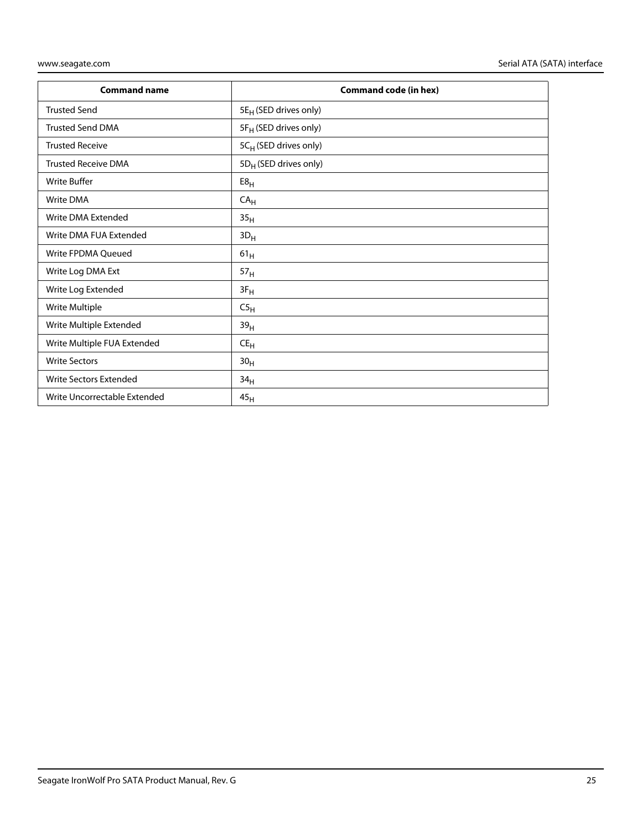| <b>Command name</b>           | Command code (in hex)             |
|-------------------------------|-----------------------------------|
| <b>Trusted Send</b>           | 5E <sub>H</sub> (SED drives only) |
| <b>Trusted Send DMA</b>       | 5F <sub>H</sub> (SED drives only) |
| <b>Trusted Receive</b>        | 5CH (SED drives only)             |
| <b>Trusted Receive DMA</b>    | 5D <sub>H</sub> (SED drives only) |
| <b>Write Buffer</b>           | E8 <sub>H</sub>                   |
| <b>Write DMA</b>              | CA <sub>H</sub>                   |
| Write DMA Extended            | 35 <sub>H</sub>                   |
| Write DMA FUA Extended        | $3D_H$                            |
| Write FPDMA Queued            | $61_H$                            |
| Write Log DMA Ext             | 57 <sub>H</sub>                   |
| Write Log Extended            | $3F_H$                            |
| Write Multiple                | C5 <sub>H</sub>                   |
| Write Multiple Extended       | 39 <sub>H</sub>                   |
| Write Multiple FUA Extended   | $CE_{H}$                          |
| <b>Write Sectors</b>          | 30 <sub>H</sub>                   |
| <b>Write Sectors Extended</b> | 34 <sub>H</sub>                   |
| Write Uncorrectable Extended  | 45 <sub>H</sub>                   |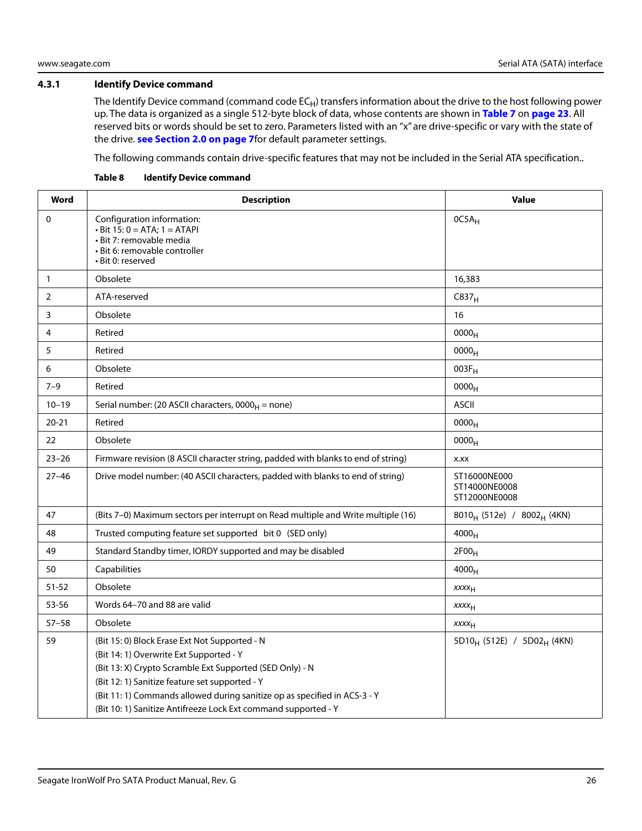#### <span id="page-26-0"></span>**4.3.1 Identify Device command**

The Identify Device command (command code  $EC_H$ ) transfers information about the drive to the host following power up. The data is organized as a single 512-byte block of data, whose contents are shown in **Table 7** on **page 23**. All reserved bits or words should be set to zero. Parameters listed with an "x" are drive-specific or vary with the state of the drive. **[see Section 2.0 on page 7](#page-7-0)**for default parameter settings.

The following commands contain drive-specific features that may not be included in the Serial ATA specification..

| Word           | <b>Description</b>                                                                                                                                                                                                                                                                                                                                    | <b>Value</b>                                       |
|----------------|-------------------------------------------------------------------------------------------------------------------------------------------------------------------------------------------------------------------------------------------------------------------------------------------------------------------------------------------------------|----------------------------------------------------|
| $\mathbf 0$    | Configuration information:<br>$\cdot$ Bit 15: 0 = ATA; 1 = ATAPI<br>· Bit 7: removable media<br>· Bit 6: removable controller<br>· Bit 0: reserved                                                                                                                                                                                                    | $OC5A_H$                                           |
| $\mathbf{1}$   | Obsolete                                                                                                                                                                                                                                                                                                                                              | 16,383                                             |
| $\overline{2}$ | ATA-reserved                                                                                                                                                                                                                                                                                                                                          | C837 <sub>H</sub>                                  |
| 3              | Obsolete                                                                                                                                                                                                                                                                                                                                              | 16                                                 |
| 4              | Retired                                                                                                                                                                                                                                                                                                                                               | 0000 <sub>H</sub>                                  |
| 5              | Retired                                                                                                                                                                                                                                                                                                                                               | 0000 <sub>H</sub>                                  |
| 6              | Obsolete                                                                                                                                                                                                                                                                                                                                              | $003F_H$                                           |
| $7 - 9$        | Retired                                                                                                                                                                                                                                                                                                                                               | 0000 <sub>H</sub>                                  |
| $10 - 19$      | Serial number: (20 ASCII characters, $0000_H =$ none)                                                                                                                                                                                                                                                                                                 | <b>ASCII</b>                                       |
| $20 - 21$      | Retired                                                                                                                                                                                                                                                                                                                                               | 0000 <sub>H</sub>                                  |
| 22             | Obsolete                                                                                                                                                                                                                                                                                                                                              | 0000 <sub>H</sub>                                  |
| $23 - 26$      | Firmware revision (8 ASCII character string, padded with blanks to end of string)                                                                                                                                                                                                                                                                     | X.XX                                               |
| $27 - 46$      | Drive model number: (40 ASCII characters, padded with blanks to end of string)                                                                                                                                                                                                                                                                        | ST16000NE000<br>ST14000NE0008<br>ST12000NE0008     |
| 47             | (Bits 7-0) Maximum sectors per interrupt on Read multiple and Write multiple (16)                                                                                                                                                                                                                                                                     | 8010 <sub>H</sub> (512e) / 8002 <sub>H</sub> (4KN) |
| 48             | Trusted computing feature set supported bit 0 (SED only)                                                                                                                                                                                                                                                                                              | $4000_H$                                           |
| 49             | Standard Standby timer, IORDY supported and may be disabled                                                                                                                                                                                                                                                                                           | 2F00 <sub>H</sub>                                  |
| 50             | Capabilities                                                                                                                                                                                                                                                                                                                                          | 4000 <sub>H</sub>                                  |
| $51 - 52$      | Obsolete                                                                                                                                                                                                                                                                                                                                              | <b>XXXX<sub>H</sub></b>                            |
| 53-56          | Words 64-70 and 88 are valid                                                                                                                                                                                                                                                                                                                          | <b>XXXX<sub>H</sub></b>                            |
| $57 - 58$      | Obsolete                                                                                                                                                                                                                                                                                                                                              | XXXH                                               |
| 59             | (Bit 15: 0) Block Erase Ext Not Supported - N<br>(Bit 14: 1) Overwrite Ext Supported - Y<br>(Bit 13: X) Crypto Scramble Ext Supported (SED Only) - N<br>(Bit 12: 1) Sanitize feature set supported - Y<br>(Bit 11: 1) Commands allowed during sanitize op as specified in ACS-3 - Y<br>(Bit 10: 1) Sanitize Antifreeze Lock Ext command supported - Y | 5D10 <sub>H</sub> (512E) / 5D02 <sub>H</sub> (4KN) |

**Table 8 Identify Device command**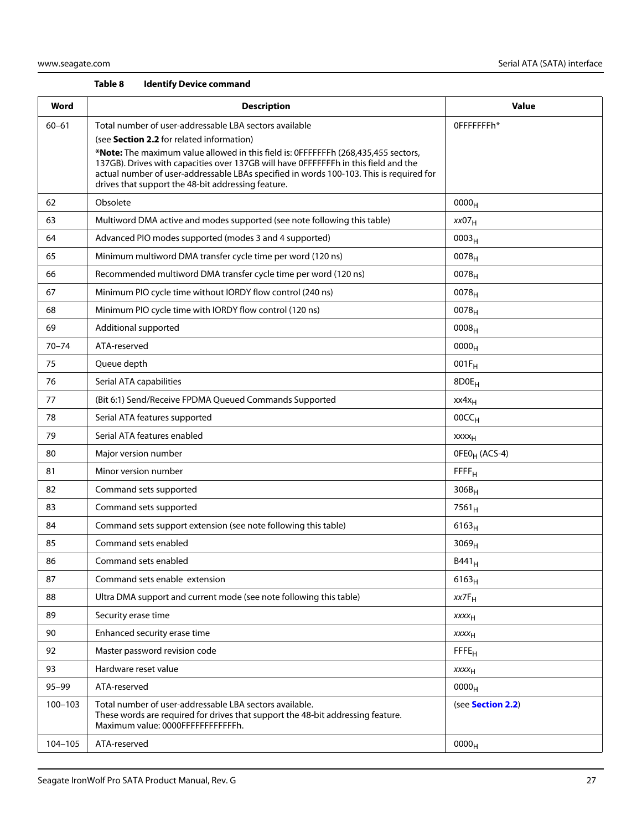#### **Table 8 Identify Device command**

| Word        | <b>Description</b>                                                                                                                                                                                                                                                                                                                                                                                                                | <b>Value</b>              |
|-------------|-----------------------------------------------------------------------------------------------------------------------------------------------------------------------------------------------------------------------------------------------------------------------------------------------------------------------------------------------------------------------------------------------------------------------------------|---------------------------|
| $60 - 61$   | Total number of user-addressable LBA sectors available<br>(see Section 2.2 for related information)<br>*Note: The maximum value allowed in this field is: 0FFFFFFFh (268,435,455 sectors,<br>137GB). Drives with capacities over 137GB will have 0FFFFFFFh in this field and the<br>actual number of user-addressable LBAs specified in words 100-103. This is required for<br>drives that support the 48-bit addressing feature. | 0FFFFFFFh*                |
| 62          | Obsolete                                                                                                                                                                                                                                                                                                                                                                                                                          | 0000 <sub>H</sub>         |
| 63          | Multiword DMA active and modes supported (see note following this table)                                                                                                                                                                                                                                                                                                                                                          | xx07 <sub>H</sub>         |
| 64          | Advanced PIO modes supported (modes 3 and 4 supported)                                                                                                                                                                                                                                                                                                                                                                            | 0003 <sub>H</sub>         |
| 65          | Minimum multiword DMA transfer cycle time per word (120 ns)                                                                                                                                                                                                                                                                                                                                                                       | $0078_H$                  |
| 66          | Recommended multiword DMA transfer cycle time per word (120 ns)                                                                                                                                                                                                                                                                                                                                                                   | $0078_H$                  |
| 67          | Minimum PIO cycle time without IORDY flow control (240 ns)                                                                                                                                                                                                                                                                                                                                                                        | 0078 <sub>H</sub>         |
| 68          | Minimum PIO cycle time with IORDY flow control (120 ns)                                                                                                                                                                                                                                                                                                                                                                           | $0078_H$                  |
| 69          | Additional supported                                                                                                                                                                                                                                                                                                                                                                                                              | $0008_{H}$                |
| $70 - 74$   | ATA-reserved                                                                                                                                                                                                                                                                                                                                                                                                                      | 0000 <sub>H</sub>         |
| 75          | Queue depth                                                                                                                                                                                                                                                                                                                                                                                                                       | $001F_H$                  |
| 76          | Serial ATA capabilities                                                                                                                                                                                                                                                                                                                                                                                                           | 8D0E <sub>H</sub>         |
| 77          | (Bit 6:1) Send/Receive FPDMA Queued Commands Supported                                                                                                                                                                                                                                                                                                                                                                            | $xx4x_H$                  |
| 78          | Serial ATA features supported                                                                                                                                                                                                                                                                                                                                                                                                     | 00CC <sub>H</sub>         |
| 79          | Serial ATA features enabled                                                                                                                                                                                                                                                                                                                                                                                                       | xxxx <sub>H</sub>         |
| 80          | Major version number                                                                                                                                                                                                                                                                                                                                                                                                              | OFEO <sub>H</sub> (ACS-4) |
| 81          | Minor version number                                                                                                                                                                                                                                                                                                                                                                                                              | <b>FFFF<sub>H</sub></b>   |
| 82          | Command sets supported                                                                                                                                                                                                                                                                                                                                                                                                            | $306B_H$                  |
| 83          | Command sets supported                                                                                                                                                                                                                                                                                                                                                                                                            | $7561_H$                  |
| 84          | Command sets support extension (see note following this table)                                                                                                                                                                                                                                                                                                                                                                    | $6163_H$                  |
| 85          | Command sets enabled                                                                                                                                                                                                                                                                                                                                                                                                              | 3069 <sub>H</sub>         |
| 86          | Command sets enabled                                                                                                                                                                                                                                                                                                                                                                                                              | B441 <sub>H</sub>         |
| 87          | Command sets enable extension                                                                                                                                                                                                                                                                                                                                                                                                     | $6163_H$                  |
| 88          | Ultra DMA support and current mode (see note following this table)                                                                                                                                                                                                                                                                                                                                                                | $xx7F_H$                  |
| 89          | Security erase time                                                                                                                                                                                                                                                                                                                                                                                                               | XXXH                      |
| 90          | Enhanced security erase time                                                                                                                                                                                                                                                                                                                                                                                                      | <b>XXXX<sub>H</sub></b>   |
| 92          | Master password revision code                                                                                                                                                                                                                                                                                                                                                                                                     | <b>FFFE<sub>H</sub></b>   |
| 93          | Hardware reset value                                                                                                                                                                                                                                                                                                                                                                                                              | XXXH                      |
| $95 - 99$   | ATA-reserved                                                                                                                                                                                                                                                                                                                                                                                                                      | 0000 <sub>H</sub>         |
| $100 - 103$ | Total number of user-addressable LBA sectors available.<br>These words are required for drives that support the 48-bit addressing feature.<br>Maximum value: 0000FFFFFFFFFFFFFh.                                                                                                                                                                                                                                                  | (see Section 2.2)         |
| 104-105     | ATA-reserved                                                                                                                                                                                                                                                                                                                                                                                                                      | 0000 <sub>H</sub>         |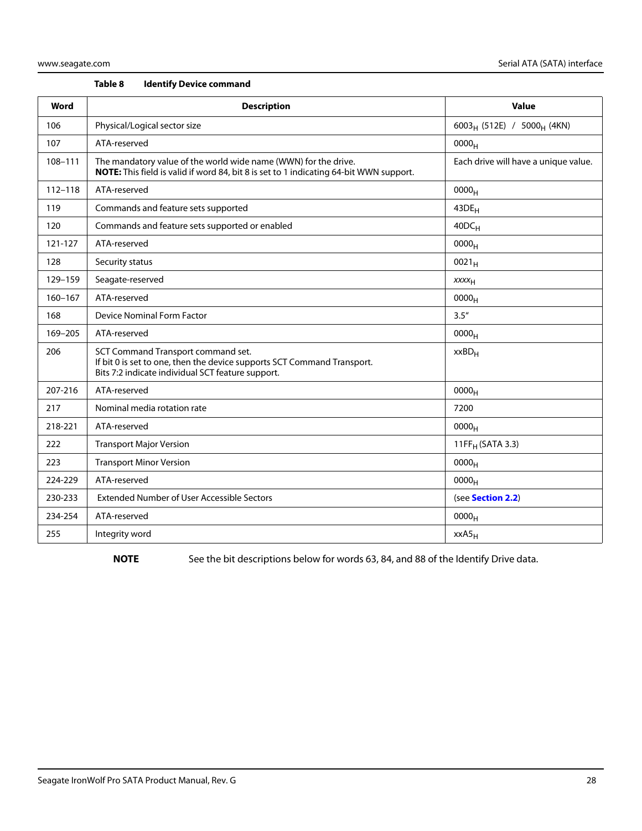| Table 8 |  |  | <b>Identify Device command</b> |
|---------|--|--|--------------------------------|
|---------|--|--|--------------------------------|

| Word        | <b>Description</b>                                                                                                                                                 | <b>Value</b>                              |
|-------------|--------------------------------------------------------------------------------------------------------------------------------------------------------------------|-------------------------------------------|
| 106         | Physical/Logical sector size                                                                                                                                       | $6003_H$ (512E) / 5000 <sub>H</sub> (4KN) |
| 107         | ATA-reserved                                                                                                                                                       | 0000 <sub>H</sub>                         |
| 108-111     | The mandatory value of the world wide name (WWN) for the drive.<br>NOTE: This field is valid if word 84, bit 8 is set to 1 indicating 64-bit WWN support.          | Each drive will have a unique value.      |
| $112 - 118$ | ATA-reserved                                                                                                                                                       | 0000 <sub>H</sub>                         |
| 119         | Commands and feature sets supported                                                                                                                                | 43DE <sub>H</sub>                         |
| 120         | Commands and feature sets supported or enabled                                                                                                                     | $40DC_H$                                  |
| 121-127     | ATA-reserved                                                                                                                                                       | 0000 <sub>H</sub>                         |
| 128         | Security status                                                                                                                                                    | $0021_H$                                  |
| 129-159     | Seagate-reserved                                                                                                                                                   | XXXH                                      |
| 160-167     | ATA-reserved                                                                                                                                                       | 0000 <sub>H</sub>                         |
| 168         | <b>Device Nominal Form Factor</b>                                                                                                                                  | 3.5''                                     |
| 169-205     | ATA-reserved                                                                                                                                                       | 0000 <sub>H</sub>                         |
| 206         | SCT Command Transport command set.<br>If bit 0 is set to one, then the device supports SCT Command Transport.<br>Bits 7:2 indicate individual SCT feature support. | $xxBD_H$                                  |
| 207-216     | ATA-reserved                                                                                                                                                       | 0000 <sub>H</sub>                         |
| 217         | Nominal media rotation rate                                                                                                                                        | 7200                                      |
| 218-221     | ATA-reserved                                                                                                                                                       | 0000 <sub>H</sub>                         |
| 222         | <b>Transport Major Version</b>                                                                                                                                     | 11FF <sub>H</sub> (SATA 3.3)              |
| 223         | <b>Transport Minor Version</b>                                                                                                                                     | 0000 <sub>H</sub>                         |
| 224-229     | ATA-reserved                                                                                                                                                       | 0000 <sub>H</sub>                         |
| 230-233     | Extended Number of User Accessible Sectors                                                                                                                         | (see Section 2.2)                         |
| 234-254     | ATA-reserved                                                                                                                                                       | 0000 <sub>H</sub>                         |
| 255         | Integrity word                                                                                                                                                     | xxA5 <sub>H</sub>                         |

NOTE See the bit descriptions below for words 63, 84, and 88 of the Identify Drive data.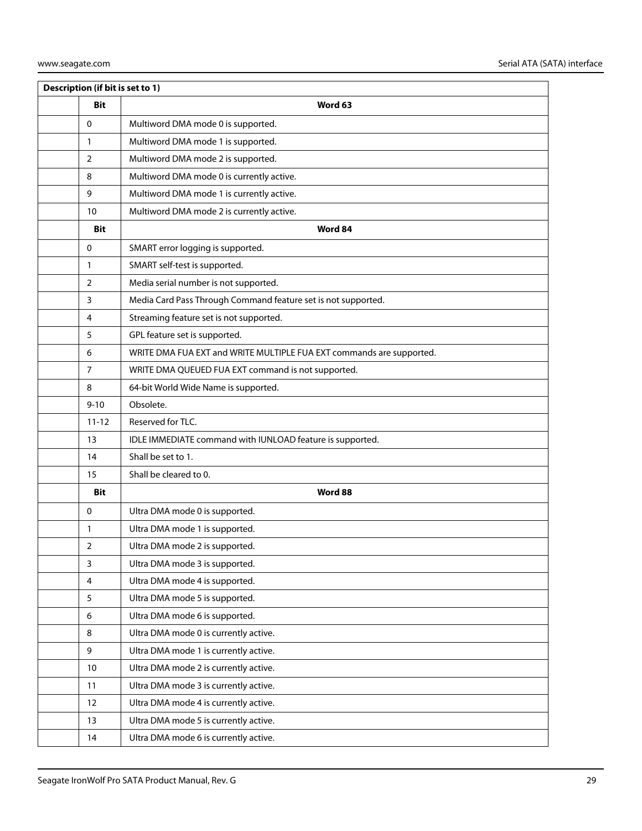|                | Description (if bit is set to 1)                          |                                                                      |  |  |
|----------------|-----------------------------------------------------------|----------------------------------------------------------------------|--|--|
|                | <b>Bit</b>                                                | Word 63                                                              |  |  |
| $\mathbf 0$    |                                                           | Multiword DMA mode 0 is supported.                                   |  |  |
| 1              |                                                           | Multiword DMA mode 1 is supported.                                   |  |  |
| $\overline{2}$ |                                                           | Multiword DMA mode 2 is supported.                                   |  |  |
| 8              |                                                           | Multiword DMA mode 0 is currently active.                            |  |  |
| 9              |                                                           | Multiword DMA mode 1 is currently active.                            |  |  |
| 10             |                                                           | Multiword DMA mode 2 is currently active.                            |  |  |
|                | <b>Bit</b>                                                | Word 84                                                              |  |  |
| $\mathbf 0$    |                                                           | SMART error logging is supported.                                    |  |  |
| 1              |                                                           | SMART self-test is supported.                                        |  |  |
| 2              |                                                           | Media serial number is not supported.                                |  |  |
| 3              |                                                           | Media Card Pass Through Command feature set is not supported.        |  |  |
| 4              |                                                           | Streaming feature set is not supported.                              |  |  |
| 5              |                                                           | GPL feature set is supported.                                        |  |  |
| 6              |                                                           | WRITE DMA FUA EXT and WRITE MULTIPLE FUA EXT commands are supported. |  |  |
| $\overline{7}$ |                                                           | WRITE DMA QUEUED FUA EXT command is not supported.                   |  |  |
| 8              |                                                           | 64-bit World Wide Name is supported.                                 |  |  |
| $9 - 10$       |                                                           | Obsolete.                                                            |  |  |
|                | $11 - 12$                                                 | Reserved for TLC.                                                    |  |  |
| 13             | IDLE IMMEDIATE command with IUNLOAD feature is supported. |                                                                      |  |  |
| 14             |                                                           | Shall be set to 1.                                                   |  |  |
| 15             |                                                           | Shall be cleared to 0.                                               |  |  |
|                | <b>Bit</b>                                                | Word 88                                                              |  |  |
| 0              |                                                           | Ultra DMA mode 0 is supported.                                       |  |  |
| 1              |                                                           | Ultra DMA mode 1 is supported.                                       |  |  |
| 2              |                                                           | Ultra DMA mode 2 is supported.                                       |  |  |
| 3              |                                                           | Ultra DMA mode 3 is supported.                                       |  |  |
| $\overline{4}$ |                                                           | Ultra DMA mode 4 is supported.                                       |  |  |
| 5              |                                                           | Ultra DMA mode 5 is supported.                                       |  |  |
| 6              | Ultra DMA mode 6 is supported.                            |                                                                      |  |  |
| 8              |                                                           | Ultra DMA mode 0 is currently active.                                |  |  |
| 9              |                                                           | Ultra DMA mode 1 is currently active.                                |  |  |
| 10             |                                                           | Ultra DMA mode 2 is currently active.                                |  |  |
| 11             |                                                           | Ultra DMA mode 3 is currently active.                                |  |  |
| 12             |                                                           | Ultra DMA mode 4 is currently active.                                |  |  |
| 13             |                                                           | Ultra DMA mode 5 is currently active.                                |  |  |
| 14             |                                                           | Ultra DMA mode 6 is currently active.                                |  |  |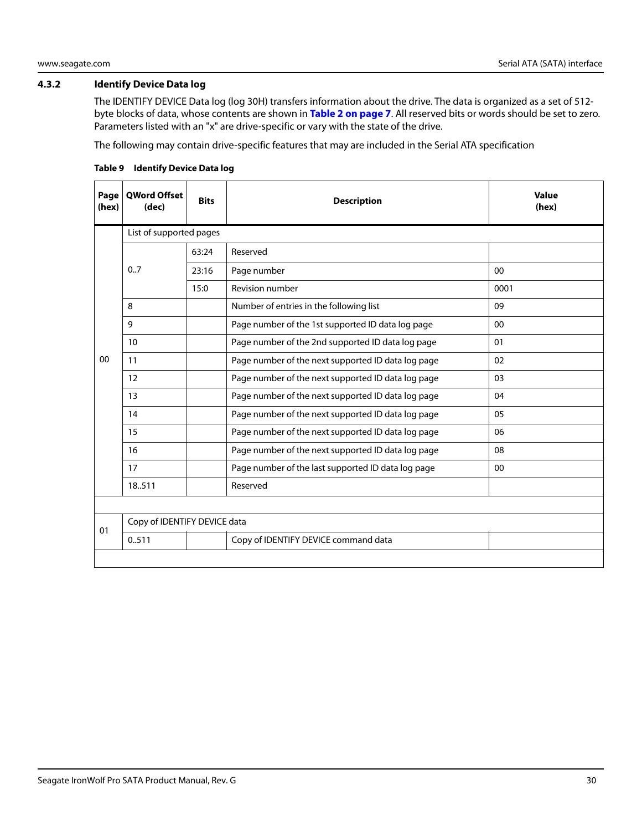#### <span id="page-30-0"></span>**4.3.2 Identify Device Data log**

The IDENTIFY DEVICE Data log (log 30H) transfers information about the drive. The data is organized as a set of 512 byte blocks of data, whose contents are shown in **[Table 2 on page 7](#page-7-2)**. All reserved bits or words should be set to zero. Parameters listed with an "x" are drive-specific or vary with the state of the drive.

The following may contain drive-specific features that may are included in the Serial ATA specification

| Page<br>(hex) | <b>OWord Offset</b><br>(dec) | <b>Bits</b> | <b>Description</b>                                 | <b>Value</b><br>(hex) |  |  |
|---------------|------------------------------|-------------|----------------------------------------------------|-----------------------|--|--|
|               | List of supported pages      |             |                                                    |                       |  |  |
|               |                              | 63:24       | Reserved                                           |                       |  |  |
|               | 0.7                          | 23:16       | Page number                                        | 00                    |  |  |
|               |                              | 15:0        | <b>Revision number</b>                             | 0001                  |  |  |
|               | 8                            |             | Number of entries in the following list            | 09                    |  |  |
|               | 9                            |             | Page number of the 1st supported ID data log page  | 00                    |  |  |
|               | 10                           |             | Page number of the 2nd supported ID data log page  | 01                    |  |  |
| $00\,$        | 11                           |             | Page number of the next supported ID data log page | 02                    |  |  |
|               | 12                           |             | Page number of the next supported ID data log page | 03                    |  |  |
|               | 13                           |             | Page number of the next supported ID data log page | 04                    |  |  |
|               | 14                           |             | Page number of the next supported ID data log page | 05                    |  |  |
|               | 15                           |             | Page number of the next supported ID data log page | 06                    |  |  |
|               | 16                           |             | Page number of the next supported ID data log page | 08                    |  |  |
|               | 17                           |             | Page number of the last supported ID data log page | $00\,$                |  |  |
|               | 18.511                       |             | Reserved                                           |                       |  |  |
|               |                              |             |                                                    |                       |  |  |
| 01            | Copy of IDENTIFY DEVICE data |             |                                                    |                       |  |  |
|               | 0.511                        |             | Copy of IDENTIFY DEVICE command data               |                       |  |  |
|               |                              |             |                                                    |                       |  |  |

#### **Table 9 Identify Device Data log**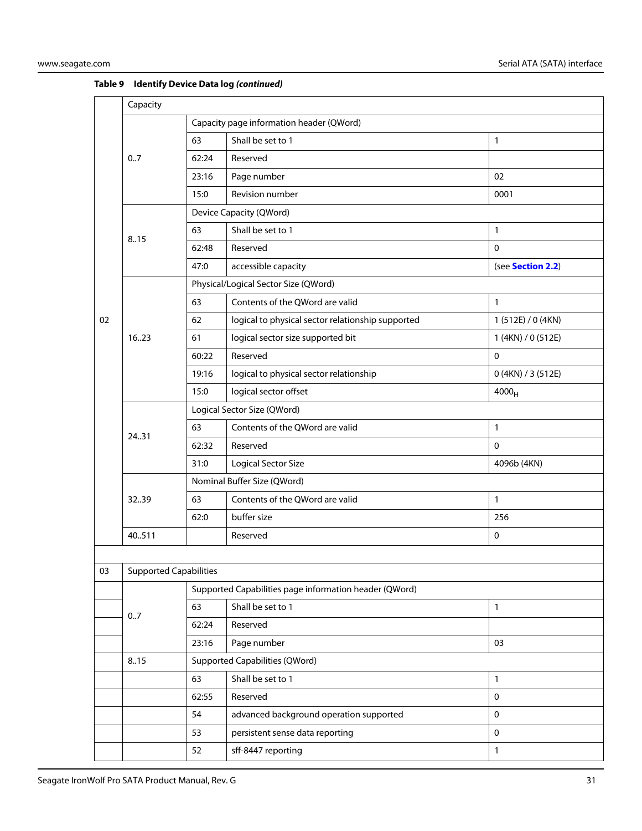|    | Capacity                      |                                          |                                                        |                    |  |  |
|----|-------------------------------|------------------------------------------|--------------------------------------------------------|--------------------|--|--|
|    |                               | Capacity page information header (QWord) |                                                        |                    |  |  |
|    |                               | 63                                       | Shall be set to 1                                      | $\mathbf{1}$       |  |  |
|    | 0.7                           | 62:24                                    | Reserved                                               |                    |  |  |
|    |                               | 23:16                                    | Page number                                            | 02                 |  |  |
|    |                               | 15:0                                     | Revision number                                        | 0001               |  |  |
|    |                               | Device Capacity (QWord)                  |                                                        |                    |  |  |
|    | 8.15                          | 63                                       | Shall be set to 1                                      | $\mathbf{1}$       |  |  |
|    |                               | 62:48                                    | Reserved                                               | $\mathbf 0$        |  |  |
|    |                               | 47:0                                     | accessible capacity                                    | (see Section 2.2)  |  |  |
|    |                               |                                          | Physical/Logical Sector Size (QWord)                   |                    |  |  |
|    |                               | 63                                       | Contents of the QWord are valid                        | $\mathbf{1}$       |  |  |
| 02 |                               | 62                                       | logical to physical sector relationship supported      | 1 (512E) / 0 (4KN) |  |  |
|    | 16.23                         | 61                                       | logical sector size supported bit                      | 1 (4KN) / 0 (512E) |  |  |
|    |                               | 60:22                                    | Reserved                                               | $\Omega$           |  |  |
|    |                               | 19:16                                    | logical to physical sector relationship                | 0 (4KN) / 3 (512E) |  |  |
|    |                               | 15:0                                     | logical sector offset                                  | 4000 <sub>H</sub>  |  |  |
|    |                               | Logical Sector Size (QWord)              |                                                        |                    |  |  |
|    | 24.31                         | 63                                       | Contents of the QWord are valid                        | $\mathbf{1}$       |  |  |
|    |                               | 62:32                                    | Reserved                                               | $\Omega$           |  |  |
|    |                               | 31:0                                     | <b>Logical Sector Size</b>                             | 4096b (4KN)        |  |  |
|    |                               | Nominal Buffer Size (QWord)              |                                                        |                    |  |  |
|    | 3239                          | 63                                       | Contents of the QWord are valid                        | $\mathbf{1}$       |  |  |
|    |                               | 62:0                                     | buffer size                                            | 256                |  |  |
|    | 40.511                        |                                          | Reserved                                               | $\mathbf 0$        |  |  |
|    |                               |                                          |                                                        |                    |  |  |
| 03 | <b>Supported Capabilities</b> |                                          |                                                        |                    |  |  |
|    |                               |                                          | Supported Capabilities page information header (QWord) |                    |  |  |
|    | 0.7                           | 63                                       | Shall be set to 1                                      | $\mathbf{1}$       |  |  |
|    |                               | 62:24                                    | Reserved                                               |                    |  |  |
|    |                               | 23:16                                    | Page number                                            | 03                 |  |  |

63 Shall be set to 1 1 62:55 Reserved 0 54 advanced background operation supported 0 53 persistent sense data reporting density of the persistent sense data reporting 52 sff-8447 reporting 1

#### **Table 9 Identify Device Data log** *(continued)*

8..15 Supported Capabilities (QWord)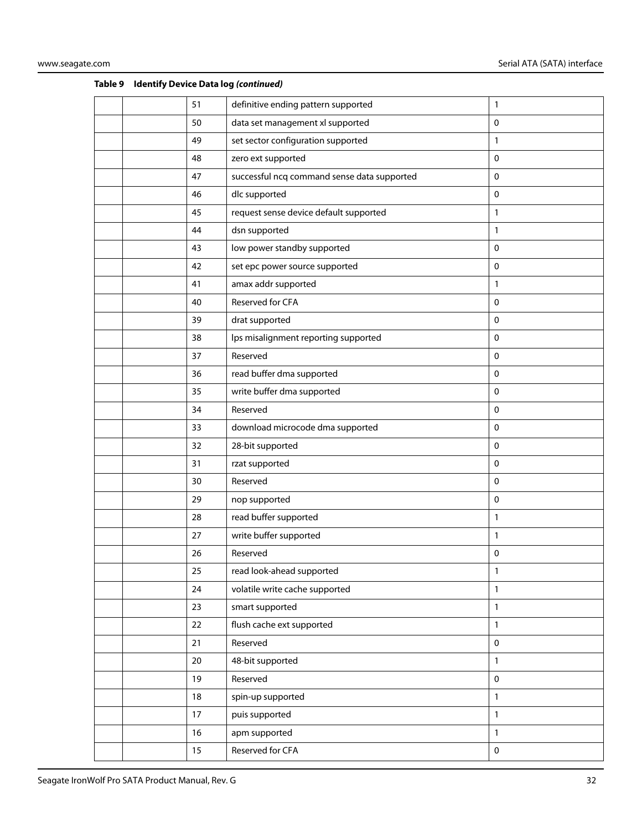|  | 51 | definitive ending pattern supported         | 1            |
|--|----|---------------------------------------------|--------------|
|  | 50 | data set management xl supported            | $\mathbf 0$  |
|  | 49 | set sector configuration supported          | 1            |
|  | 48 | zero ext supported                          | 0            |
|  | 47 | successful ncq command sense data supported | $\pmb{0}$    |
|  | 46 | dlc supported                               | $\mathbf 0$  |
|  | 45 | request sense device default supported      | $\mathbf{1}$ |
|  | 44 | dsn supported                               | 1            |
|  | 43 | low power standby supported                 | 0            |
|  | 42 | set epc power source supported              | 0            |
|  | 41 | amax addr supported                         | 1            |
|  | 40 | Reserved for CFA                            | $\mathbf 0$  |
|  | 39 | drat supported                              | $\mathbf 0$  |
|  | 38 | lps misalignment reporting supported        | 0            |
|  | 37 | Reserved                                    | $\pmb{0}$    |
|  | 36 | read buffer dma supported                   | 0            |
|  | 35 | write buffer dma supported                  | 0            |
|  | 34 | Reserved                                    | 0            |
|  | 33 | download microcode dma supported            | 0            |
|  | 32 | 28-bit supported                            | $\mathbf 0$  |
|  | 31 | rzat supported                              | 0            |
|  | 30 | Reserved                                    | $\mathbf 0$  |
|  | 29 | nop supported                               | 0            |
|  | 28 | read buffer supported                       | 1            |
|  | 27 | write buffer supported                      | $\mathbf{1}$ |
|  | 26 | Reserved                                    | 0            |
|  | 25 | read look-ahead supported                   | 1            |
|  | 24 | volatile write cache supported              | $\mathbf{1}$ |
|  | 23 | smart supported                             | 1            |
|  | 22 | flush cache ext supported                   | 1            |
|  | 21 | Reserved                                    | $\pmb{0}$    |
|  | 20 | 48-bit supported                            | $\mathbf{1}$ |
|  | 19 | Reserved                                    | $\pmb{0}$    |
|  | 18 | spin-up supported                           | $\mathbf{1}$ |
|  | 17 | puis supported                              | $\mathbf{1}$ |
|  | 16 | apm supported                               | $\mathbf{1}$ |
|  | 15 | Reserved for CFA                            | $\pmb{0}$    |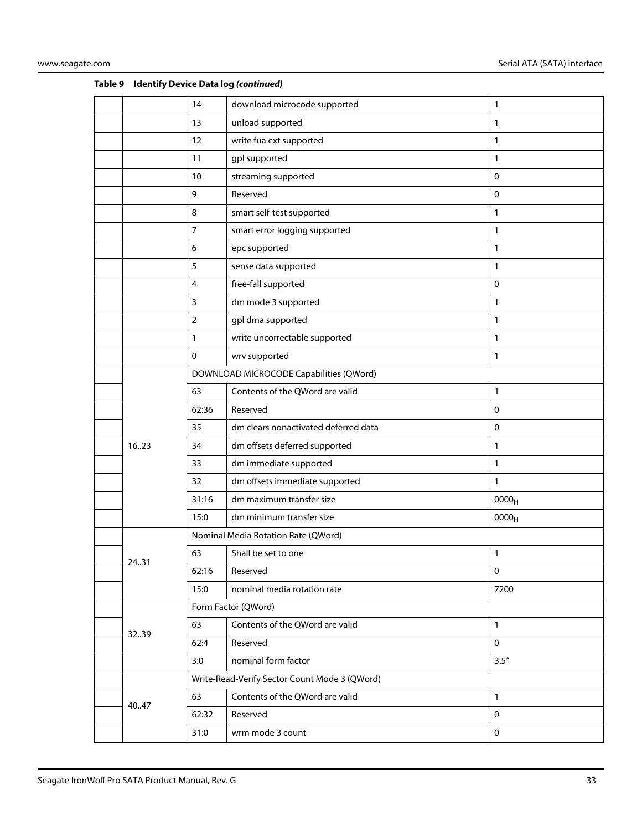|       | 14             | download microcode supported                  | 1                 |
|-------|----------------|-----------------------------------------------|-------------------|
|       | 13             | unload supported                              | $\mathbf{1}$      |
|       | 12             | write fua ext supported                       | 1                 |
|       | 11             | gpl supported                                 | 1                 |
|       | 10             | streaming supported                           | $\mathbf 0$       |
|       | 9              | Reserved                                      | $\mathbf 0$       |
|       | 8              | smart self-test supported                     | 1                 |
|       | 7              | smart error logging supported                 | 1                 |
|       | 6              | epc supported                                 | 1                 |
|       | 5              | sense data supported                          | 1                 |
|       | 4              | free-fall supported                           | $\mathbf 0$       |
|       | 3              | dm mode 3 supported                           | $\mathbf{1}$      |
|       | $\overline{2}$ | gpl dma supported                             | 1                 |
|       | $\mathbf{1}$   | write uncorrectable supported                 | 1                 |
|       | 0              | wrv supported                                 | $\mathbf{1}$      |
|       |                | DOWNLOAD MICROCODE Capabilities (QWord)       |                   |
|       | 63             | Contents of the QWord are valid               | 1                 |
|       | 62:36          | Reserved                                      | 0                 |
|       | 35             | dm clears nonactivated deferred data          | 0                 |
| 1623  | 34             | dm offsets deferred supported                 | $\mathbf{1}$      |
|       | 33             | dm immediate supported                        | 1                 |
|       | 32             | dm offsets immediate supported                | $\mathbf{1}$      |
|       | 31:16          | dm maximum transfer size                      | 0000 <sub>H</sub> |
|       | 15:0           | dm minimum transfer size                      | 0000 <sub>H</sub> |
|       |                | Nominal Media Rotation Rate (QWord)           |                   |
| 2431  | 63             | Shall be set to one                           | 1                 |
|       | 62:16          | Reserved                                      | $\pmb{0}$         |
|       | 15:0           | nominal media rotation rate                   | 7200              |
|       |                | Form Factor (QWord)                           |                   |
| 3239  | 63             | Contents of the QWord are valid               | $\mathbf{1}$      |
|       | 62:4           | Reserved                                      | $\mathbf 0$       |
|       | 3:0            | nominal form factor                           | 3.5''             |
|       |                | Write-Read-Verify Sector Count Mode 3 (QWord) |                   |
|       | 63             | Contents of the QWord are valid               | $\mathbf{1}$      |
| 40.47 | 62:32          | Reserved                                      | $\pmb{0}$         |
|       | 31:0           | wrm mode 3 count                              | 0                 |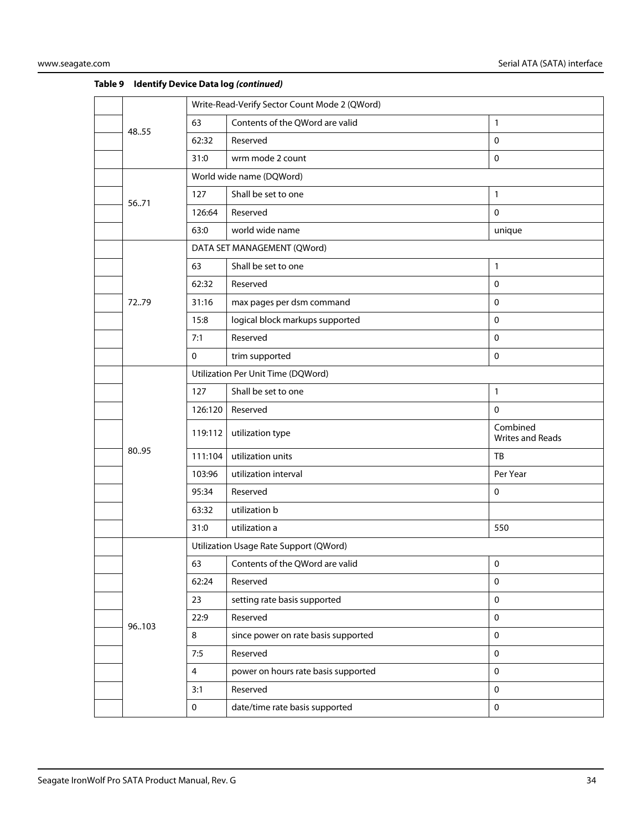|  |       | Write-Read-Verify Sector Count Mode 2 (QWord) |                                     |                              |  |  |
|--|-------|-----------------------------------------------|-------------------------------------|------------------------------|--|--|
|  | 48.55 | 63                                            | Contents of the QWord are valid     | $\mathbf{1}$                 |  |  |
|  |       | 62:32                                         | Reserved                            | $\mathbf 0$                  |  |  |
|  |       | 31:0                                          | wrm mode 2 count                    | $\mathbf 0$                  |  |  |
|  |       |                                               | World wide name (DQWord)            |                              |  |  |
|  |       | 127                                           | Shall be set to one                 | $\mathbf{1}$                 |  |  |
|  | 5671  | 126:64                                        | Reserved                            | $\mathbf 0$                  |  |  |
|  |       | 63:0                                          | world wide name                     | unique                       |  |  |
|  |       |                                               | DATA SET MANAGEMENT (QWord)         |                              |  |  |
|  |       | 63                                            | Shall be set to one                 | $\mathbf{1}$                 |  |  |
|  |       | 62:32                                         | Reserved                            | $\mathbf 0$                  |  |  |
|  | 7279  | 31:16                                         | max pages per dsm command           | $\mathbf 0$                  |  |  |
|  |       | 15:8                                          | logical block markups supported     | $\mathbf 0$                  |  |  |
|  |       | 7:1                                           | Reserved                            | $\mathbf 0$                  |  |  |
|  |       | $\mathbf 0$                                   | trim supported                      | $\mathsf 0$                  |  |  |
|  |       | Utilization Per Unit Time (DQWord)            |                                     |                              |  |  |
|  |       | 127                                           | Shall be set to one                 | $\mathbf{1}$                 |  |  |
|  |       | 126:120                                       | Reserved                            | $\mathbf 0$                  |  |  |
|  |       | 119:112                                       | utilization type                    | Combined<br>Writes and Reads |  |  |
|  | 80.95 | 111:104                                       | utilization units                   | TB                           |  |  |
|  |       | 103:96                                        | utilization interval                | Per Year                     |  |  |
|  |       | 95:34                                         | Reserved                            | 0                            |  |  |
|  |       | 63:32                                         | utilization b                       |                              |  |  |
|  |       | 31:0                                          | utilization a                       | 550                          |  |  |
|  |       | Utilization Usage Rate Support (QWord)        |                                     |                              |  |  |
|  |       | 63                                            | Contents of the QWord are valid     | $\pmb{0}$                    |  |  |
|  |       | 62:24                                         | Reserved                            | $\pmb{0}$                    |  |  |
|  |       | 23                                            | setting rate basis supported        | $\mathbf 0$                  |  |  |
|  | 96103 | 22:9                                          | Reserved                            | $\pmb{0}$                    |  |  |
|  |       | 8                                             | since power on rate basis supported | $\mathbf 0$                  |  |  |
|  |       | 7:5                                           | Reserved                            | $\mathbf 0$                  |  |  |
|  |       | 4                                             | power on hours rate basis supported | $\mathbf 0$                  |  |  |
|  |       | 3:1                                           | Reserved                            | $\mathbf 0$                  |  |  |
|  |       | $\mathbf{0}$                                  | date/time rate basis supported      | $\mathbf 0$                  |  |  |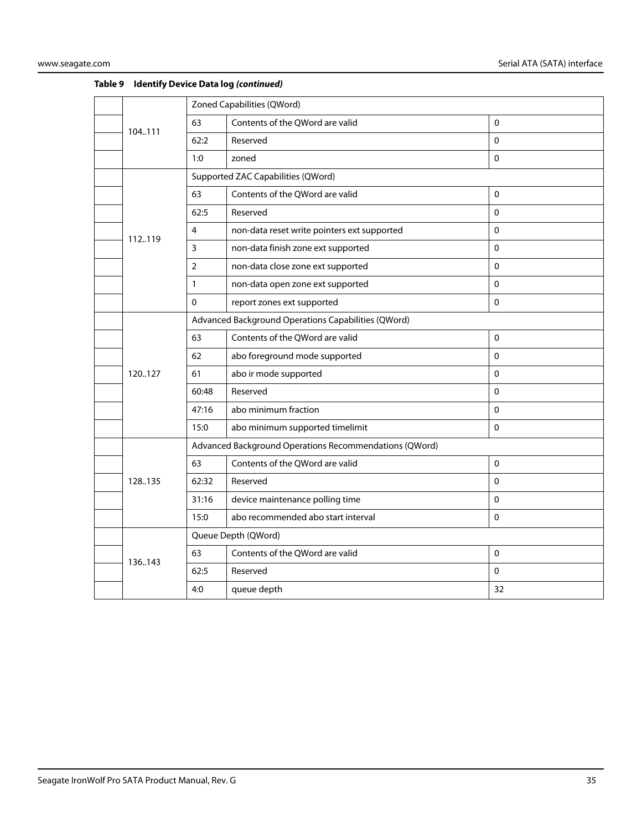|  |         | Zoned Capabilities (QWord)                             |                                             |              |  |
|--|---------|--------------------------------------------------------|---------------------------------------------|--------------|--|
|  | 104.111 | 63                                                     | Contents of the QWord are valid             | $\Omega$     |  |
|  |         | 62:2                                                   | Reserved                                    | 0            |  |
|  |         | 1:0                                                    | zoned                                       | $\Omega$     |  |
|  |         |                                                        | Supported ZAC Capabilities (QWord)          |              |  |
|  |         | 63                                                     | Contents of the QWord are valid             | $\pmb{0}$    |  |
|  |         | 62:5                                                   | Reserved                                    | $\mathbf{0}$ |  |
|  | 112119  | 4                                                      | non-data reset write pointers ext supported | $\Omega$     |  |
|  |         | 3                                                      | non-data finish zone ext supported          | 0            |  |
|  |         | $\overline{2}$                                         | non-data close zone ext supported           | 0            |  |
|  |         | $\mathbf{1}$                                           | non-data open zone ext supported            | $\Omega$     |  |
|  |         | $\mathbf{0}$                                           | report zones ext supported                  | $\Omega$     |  |
|  |         | Advanced Background Operations Capabilities (QWord)    |                                             |              |  |
|  |         | 63                                                     | Contents of the QWord are valid             | $\mathbf 0$  |  |
|  |         | 62                                                     | abo foreground mode supported               | $\Omega$     |  |
|  | 120127  | 61                                                     | abo ir mode supported                       | 0            |  |
|  |         | 60:48                                                  | Reserved                                    | $\Omega$     |  |
|  |         | 47:16                                                  | abo minimum fraction                        | $\Omega$     |  |
|  |         | 15:0                                                   | abo minimum supported timelimit             | 0            |  |
|  |         | Advanced Background Operations Recommendations (QWord) |                                             |              |  |
|  |         | 63                                                     | Contents of the QWord are valid             | $\Omega$     |  |
|  | 128.135 | 62:32                                                  | Reserved                                    | $\mathbf 0$  |  |
|  |         | 31:16                                                  | device maintenance polling time             | $\Omega$     |  |
|  |         | 15:0                                                   | abo recommended abo start interval          | $\Omega$     |  |
|  |         |                                                        | Queue Depth (QWord)                         |              |  |
|  | 136.143 | 63                                                     | Contents of the QWord are valid             | $\mathbf 0$  |  |
|  |         | 62:5                                                   | Reserved                                    | $\Omega$     |  |
|  |         | 4:0                                                    | queue depth                                 | 32           |  |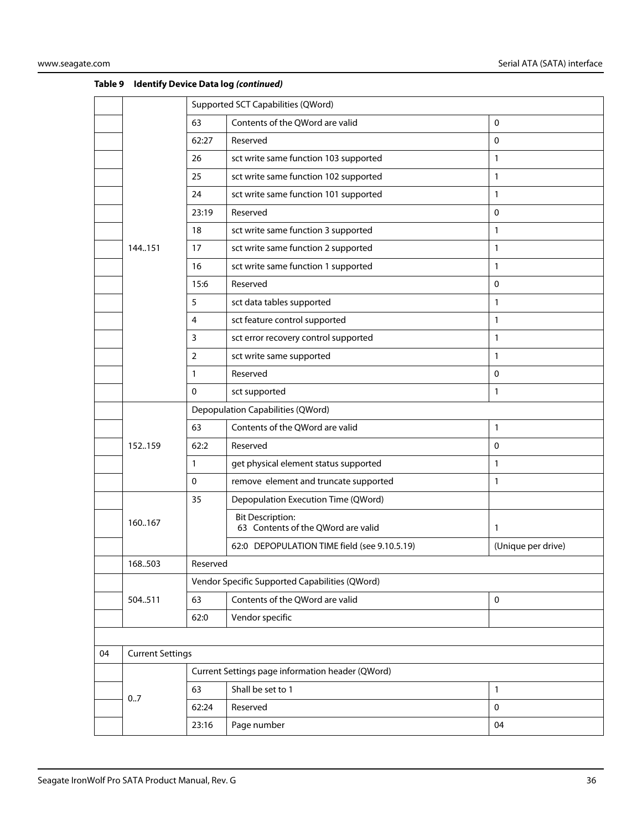|    |                         | <b>Supported SCT Capabilities (QWord)</b> |                                                               |                    |  |
|----|-------------------------|-------------------------------------------|---------------------------------------------------------------|--------------------|--|
|    |                         | 63                                        | Contents of the QWord are valid                               | $\mathbf 0$        |  |
|    |                         | 62:27                                     | Reserved                                                      | $\mathbf 0$        |  |
|    |                         | 26                                        | sct write same function 103 supported                         | $\mathbf{1}$       |  |
|    |                         | 25                                        | sct write same function 102 supported                         | 1                  |  |
|    |                         | 24                                        | sct write same function 101 supported                         | 1                  |  |
|    |                         | 23:19                                     | Reserved                                                      | $\mathbf 0$        |  |
|    |                         | 18                                        | sct write same function 3 supported                           | 1                  |  |
|    | 144.151                 | 17                                        | sct write same function 2 supported                           | 1                  |  |
|    |                         | 16                                        | sct write same function 1 supported                           | 1                  |  |
|    |                         | 15:6                                      | Reserved                                                      | $\mathbf 0$        |  |
|    |                         | 5                                         | sct data tables supported                                     | 1                  |  |
|    |                         | 4                                         | sct feature control supported                                 | 1                  |  |
|    |                         | 3                                         | sct error recovery control supported                          | 1                  |  |
|    |                         | 2                                         | sct write same supported                                      | 1                  |  |
|    |                         | $\mathbf{1}$                              | Reserved                                                      | 0                  |  |
|    |                         | 0                                         | sct supported                                                 | 1                  |  |
|    |                         |                                           | Depopulation Capabilities (QWord)                             |                    |  |
|    |                         | 63                                        | Contents of the QWord are valid                               | 1                  |  |
|    | 152.159                 | 62:2                                      | Reserved                                                      | $\mathbf 0$        |  |
|    |                         | $\mathbf{1}$                              | get physical element status supported                         | 1                  |  |
|    |                         | 0                                         | remove element and truncate supported                         | 1                  |  |
|    |                         | 35                                        | Depopulation Execution Time (QWord)                           |                    |  |
|    | 160167                  |                                           | <b>Bit Description:</b><br>63 Contents of the QWord are valid | 1                  |  |
|    |                         |                                           | 62:0 DEPOPULATION TIME field (see 9.10.5.19)                  | (Unique per drive) |  |
|    | 168503                  | Reserved                                  |                                                               |                    |  |
|    |                         |                                           | Vendor Specific Supported Capabilities (QWord)                |                    |  |
|    | 504511                  | 63                                        | Contents of the QWord are valid                               | $\pmb{0}$          |  |
|    |                         | 62:0                                      | Vendor specific                                               |                    |  |
|    |                         |                                           |                                                               |                    |  |
| 04 | <b>Current Settings</b> |                                           |                                                               |                    |  |
|    |                         |                                           | Current Settings page information header (QWord)              |                    |  |
|    | 0.7                     | 63                                        | Shall be set to 1                                             | 1                  |  |
|    |                         | 62:24                                     | Reserved                                                      | $\pmb{0}$          |  |
|    |                         | 23:16                                     | Page number                                                   | 04                 |  |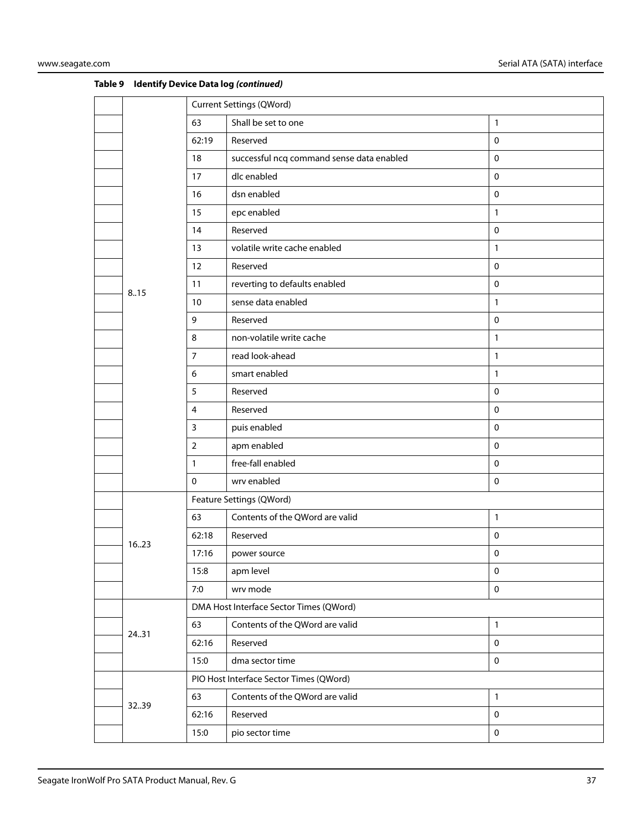|  |       |                  | <b>Current Settings (QWord)</b>           |              |  |
|--|-------|------------------|-------------------------------------------|--------------|--|
|  |       | 63               | Shall be set to one                       | $\mathbf{1}$ |  |
|  |       | 62:19            | Reserved                                  | $\mathbf 0$  |  |
|  |       | 18               | successful ncq command sense data enabled | $\mathbf 0$  |  |
|  |       | 17               | dlc enabled                               | $\mathbf 0$  |  |
|  |       | 16               | dsn enabled                               | $\mathbf 0$  |  |
|  |       | 15               | epc enabled                               | 1            |  |
|  |       | 14               | Reserved                                  | $\pmb{0}$    |  |
|  |       | 13               | volatile write cache enabled              | 1            |  |
|  |       | 12               | Reserved                                  | $\mathsf 0$  |  |
|  | 8.15  | 11               | reverting to defaults enabled             | $\mathbf 0$  |  |
|  |       | 10               | sense data enabled                        | $\mathbf{1}$ |  |
|  |       | 9                | Reserved                                  | $\mathbf 0$  |  |
|  |       | 8                | non-volatile write cache                  | 1            |  |
|  |       | $\overline{7}$   | read look-ahead                           | 1            |  |
|  |       | $\boldsymbol{6}$ | smart enabled                             | 1            |  |
|  |       | 5                | Reserved                                  | $\mathbf 0$  |  |
|  |       | $\overline{4}$   | Reserved                                  | $\pmb{0}$    |  |
|  |       | 3                | puis enabled                              | $\pmb{0}$    |  |
|  |       | $\overline{2}$   | apm enabled                               | $\mathbf 0$  |  |
|  |       | $\mathbf{1}$     | free-fall enabled                         | $\pmb{0}$    |  |
|  |       | $\mathbf 0$      | wrv enabled                               | $\pmb{0}$    |  |
|  |       |                  | Feature Settings (QWord)                  |              |  |
|  |       | 63               | Contents of the QWord are valid           | $\mathbf{1}$ |  |
|  | 1623  | 62:18            | Reserved                                  | $\pmb{0}$    |  |
|  |       | 17:16            | power source                              | $\mathbf 0$  |  |
|  |       | 15:8             | apm level                                 | $\pmb{0}$    |  |
|  |       | 7:0              | wrv mode                                  | $\mathbf 0$  |  |
|  |       |                  | DMA Host Interface Sector Times (QWord)   |              |  |
|  | 24.31 | 63               | Contents of the QWord are valid           | $\mathbf{1}$ |  |
|  |       | 62:16            | Reserved                                  | $\mathbf 0$  |  |
|  |       | 15:0             | dma sector time                           | $\mathbf 0$  |  |
|  |       |                  | PIO Host Interface Sector Times (QWord)   |              |  |
|  | 3239  | 63               | Contents of the QWord are valid           | $\mathbf{1}$ |  |
|  |       | 62:16            | Reserved                                  | $\pmb{0}$    |  |
|  |       | 15:0             | pio sector time                           | $\mathbf 0$  |  |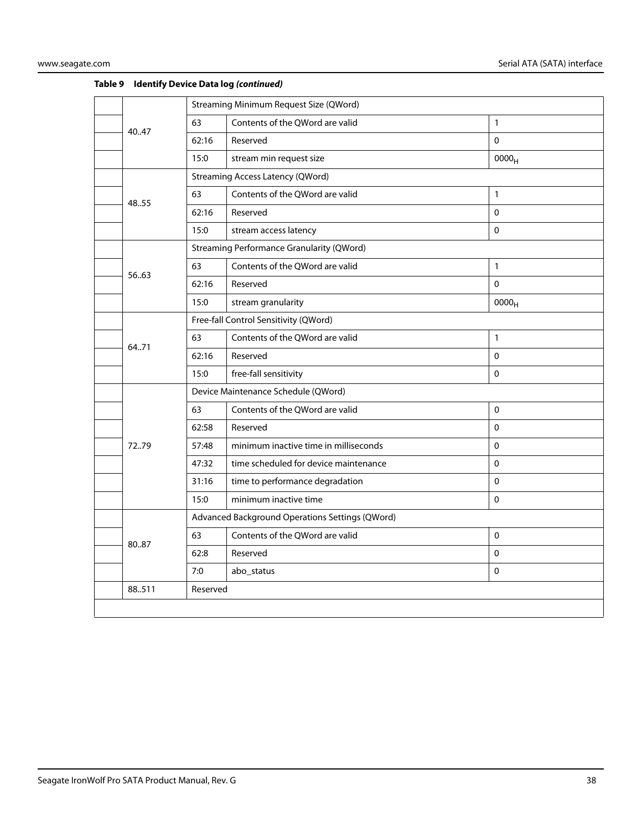|  | 40.47<br>48.55 | Streaming Minimum Request Size (QWord) |                                                  |                   |  |
|--|----------------|----------------------------------------|--------------------------------------------------|-------------------|--|
|  |                | 63                                     | Contents of the QWord are valid                  | 1                 |  |
|  |                | 62:16                                  | Reserved                                         | $\mathbf 0$       |  |
|  |                | 15:0                                   | stream min request size                          | 0000 <sub>H</sub> |  |
|  |                |                                        | <b>Streaming Access Latency (QWord)</b>          |                   |  |
|  |                | 63                                     | Contents of the OWord are valid                  | $\mathbf{1}$      |  |
|  |                | 62:16                                  | Reserved                                         | $\Omega$          |  |
|  |                | 15:0                                   | stream access latency                            | $\Omega$          |  |
|  |                |                                        | <b>Streaming Performance Granularity (QWord)</b> |                   |  |
|  | 56.63          | 63                                     | Contents of the QWord are valid                  | $\mathbf{1}$      |  |
|  |                | 62:16                                  | Reserved                                         | $\Omega$          |  |
|  |                | 15:0                                   | stream granularity                               | 0000 <sub>H</sub> |  |
|  |                | Free-fall Control Sensitivity (QWord)  |                                                  |                   |  |
|  | 64.71          | 63                                     | Contents of the QWord are valid                  | $\mathbf{1}$      |  |
|  |                | 62:16                                  | Reserved                                         | $\mathbf 0$       |  |
|  |                | 15:0                                   | free-fall sensitivity                            | $\Omega$          |  |
|  |                | Device Maintenance Schedule (QWord)    |                                                  |                   |  |
|  |                | 63                                     | Contents of the OWord are valid                  | $\Omega$          |  |
|  |                | 62:58                                  | Reserved                                         | $\Omega$          |  |
|  | 72.79          | 57:48                                  | minimum inactive time in milliseconds            | $\mathbf{0}$      |  |
|  |                | 47:32                                  | time scheduled for device maintenance            | $\mathbf 0$       |  |
|  |                | 31:16                                  | time to performance degradation                  | 0                 |  |
|  |                | 15:0                                   | minimum inactive time                            | $\Omega$          |  |
|  |                |                                        | Advanced Background Operations Settings (QWord)  |                   |  |
|  | 8087           | 63                                     | Contents of the QWord are valid                  | $\Omega$          |  |
|  |                | 62:8                                   | Reserved                                         | $\Omega$          |  |
|  |                | 7:0                                    | abo_status                                       | $\mathbf 0$       |  |
|  | 88.511         | Reserved                               |                                                  |                   |  |
|  |                |                                        |                                                  |                   |  |
|  |                |                                        |                                                  |                   |  |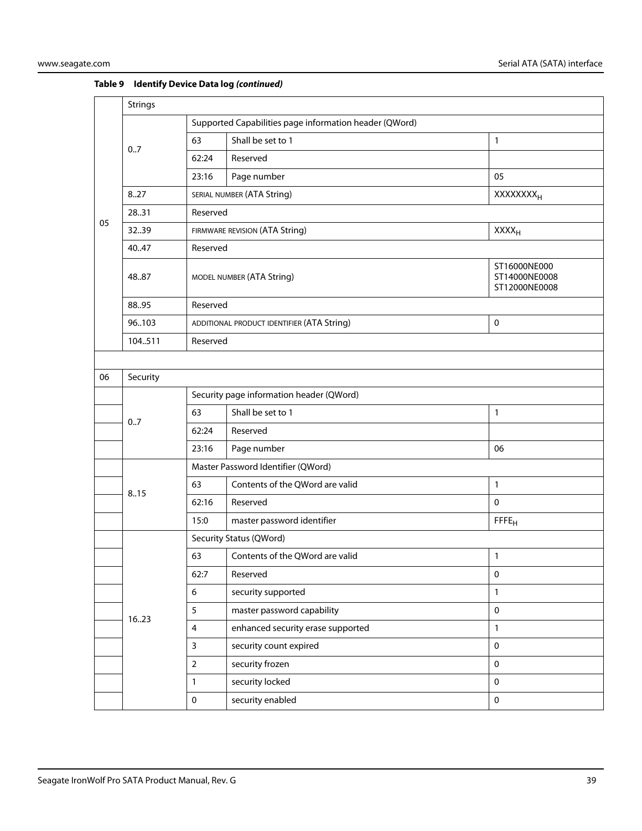|    | <b>Strings</b> |                                                        |                                            |                                                |  |  |
|----|----------------|--------------------------------------------------------|--------------------------------------------|------------------------------------------------|--|--|
|    |                | Supported Capabilities page information header (QWord) |                                            |                                                |  |  |
|    | 0.7            | 63                                                     | Shall be set to 1                          | $\mathbf{1}$                                   |  |  |
|    |                | 62:24                                                  | Reserved                                   |                                                |  |  |
|    |                | 23:16                                                  | Page number                                | 05                                             |  |  |
|    | 8.27           |                                                        | SERIAL NUMBER (ATA String)                 | <b>XXXXXXXX</b> <sub>H</sub>                   |  |  |
|    | 28.31          | Reserved                                               |                                            |                                                |  |  |
| 05 | 3239           |                                                        | FIRMWARE REVISION (ATA String)             | XXXH                                           |  |  |
|    | 40.47          | Reserved                                               |                                            |                                                |  |  |
|    | 48.87          |                                                        | MODEL NUMBER (ATA String)                  | ST16000NE000<br>ST14000NE0008<br>ST12000NE0008 |  |  |
|    | 88.95          | Reserved                                               |                                            |                                                |  |  |
|    | 96103          |                                                        | ADDITIONAL PRODUCT IDENTIFIER (ATA String) | $\mathbf 0$                                    |  |  |
|    | 104.511        | Reserved                                               |                                            |                                                |  |  |
|    |                |                                                        |                                            |                                                |  |  |
| 06 | Security       |                                                        |                                            |                                                |  |  |
|    |                |                                                        | Security page information header (QWord)   |                                                |  |  |
|    | 0.7            | 63                                                     | Shall be set to 1                          | 1                                              |  |  |
|    |                | 62:24                                                  | Reserved                                   |                                                |  |  |
|    |                | 23:16                                                  | Page number                                | 06                                             |  |  |
|    |                |                                                        | Master Password Identifier (QWord)         |                                                |  |  |
|    | 8.15           | 63                                                     | Contents of the QWord are valid            | $\mathbf{1}$                                   |  |  |
|    |                | 62:16                                                  | Reserved                                   | $\mathbf 0$                                    |  |  |
|    |                | 15:0                                                   | master password identifier                 | FFFE <sub>H</sub>                              |  |  |
|    |                |                                                        | Security Status (QWord)                    |                                                |  |  |
|    |                | 63                                                     | Contents of the QWord are valid            | $\mathbf{1}$                                   |  |  |
|    |                | 62:7                                                   | Reserved                                   | $\pmb{0}$                                      |  |  |
|    |                | 6                                                      | security supported                         | $\mathbf{1}$                                   |  |  |
|    | 1623           | 5                                                      | master password capability                 | $\pmb{0}$                                      |  |  |
|    |                | $\overline{4}$                                         | enhanced security erase supported          | $\mathbf{1}$                                   |  |  |
|    |                | 3                                                      | security count expired                     | $\pmb{0}$                                      |  |  |
|    |                | $\overline{2}$                                         | security frozen                            | $\pmb{0}$                                      |  |  |
|    |                | $\mathbf{1}$                                           | security locked                            | $\mathbf 0$                                    |  |  |
|    |                | $\pmb{0}$                                              | security enabled                           | $\pmb{0}$                                      |  |  |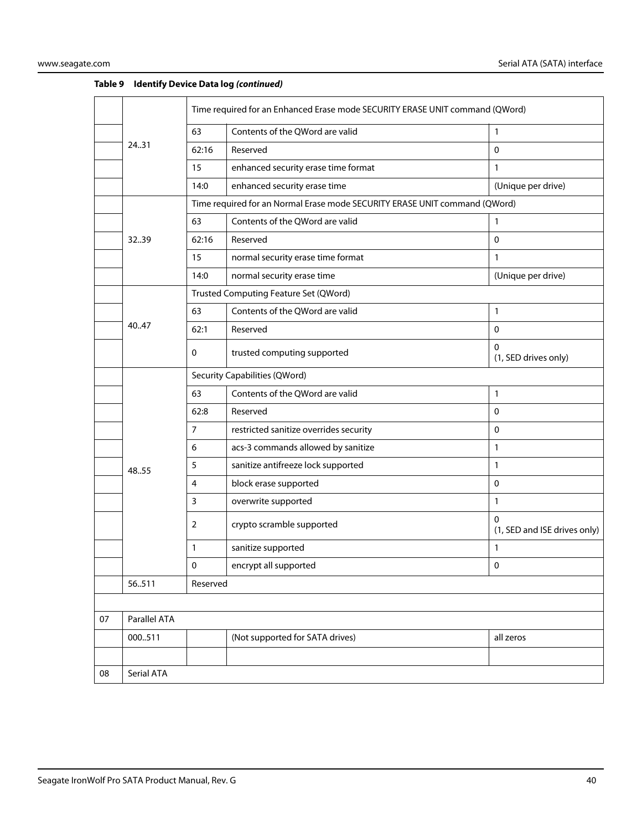|    |              |                               | Time required for an Enhanced Erase mode SECURITY ERASE UNIT command (QWord) |                                          |  |  |
|----|--------------|-------------------------------|------------------------------------------------------------------------------|------------------------------------------|--|--|
|    | 24.31        | 63                            | Contents of the QWord are valid                                              | $\mathbf{1}$                             |  |  |
|    |              | 62:16                         | Reserved                                                                     | $\mathbf 0$                              |  |  |
|    |              | 15                            | enhanced security erase time format                                          | $\mathbf{1}$                             |  |  |
|    |              | 14:0                          | enhanced security erase time                                                 | (Unique per drive)                       |  |  |
|    |              |                               | Time required for an Normal Erase mode SECURITY ERASE UNIT command (QWord)   |                                          |  |  |
|    |              | 63                            | Contents of the QWord are valid                                              | 1                                        |  |  |
|    | 3239         | 62:16                         | Reserved                                                                     | 0                                        |  |  |
|    |              | 15                            | normal security erase time format                                            | $\mathbf{1}$                             |  |  |
|    |              | 14:0                          | normal security erase time                                                   | (Unique per drive)                       |  |  |
|    |              |                               | Trusted Computing Feature Set (QWord)                                        |                                          |  |  |
|    |              | 63                            | Contents of the QWord are valid                                              | $\mathbf{1}$                             |  |  |
|    | 40.47        | 62:1                          | Reserved                                                                     | $\mathbf 0$                              |  |  |
|    |              | 0                             | trusted computing supported                                                  | 0<br>(1, SED drives only)                |  |  |
|    |              | Security Capabilities (QWord) |                                                                              |                                          |  |  |
|    |              | 63                            | Contents of the QWord are valid                                              | $\mathbf{1}$                             |  |  |
|    |              | 62:8                          | Reserved                                                                     | $\mathbf 0$                              |  |  |
|    |              | 7                             | restricted sanitize overrides security                                       | $\mathbf 0$                              |  |  |
|    |              | 6                             | acs-3 commands allowed by sanitize                                           | $\mathbf{1}$                             |  |  |
|    | 48.55        | 5                             | sanitize antifreeze lock supported                                           | $\mathbf{1}$                             |  |  |
|    |              | 4                             | block erase supported                                                        | $\mathbf 0$                              |  |  |
|    |              | 3                             | overwrite supported                                                          | $\mathbf{1}$                             |  |  |
|    |              | 2                             | crypto scramble supported                                                    | $\Omega$<br>(1, SED and ISE drives only) |  |  |
|    |              | 1                             | sanitize supported                                                           | $\mathbf{1}$                             |  |  |
|    |              | U                             | encrypt all supported                                                        | 0                                        |  |  |
|    | 56511        | Reserved                      |                                                                              |                                          |  |  |
|    |              |                               |                                                                              |                                          |  |  |
| 07 | Parallel ATA |                               |                                                                              |                                          |  |  |
|    | 000511       |                               | (Not supported for SATA drives)                                              | all zeros                                |  |  |
|    |              |                               |                                                                              |                                          |  |  |
| 08 | Serial ATA   |                               |                                                                              |                                          |  |  |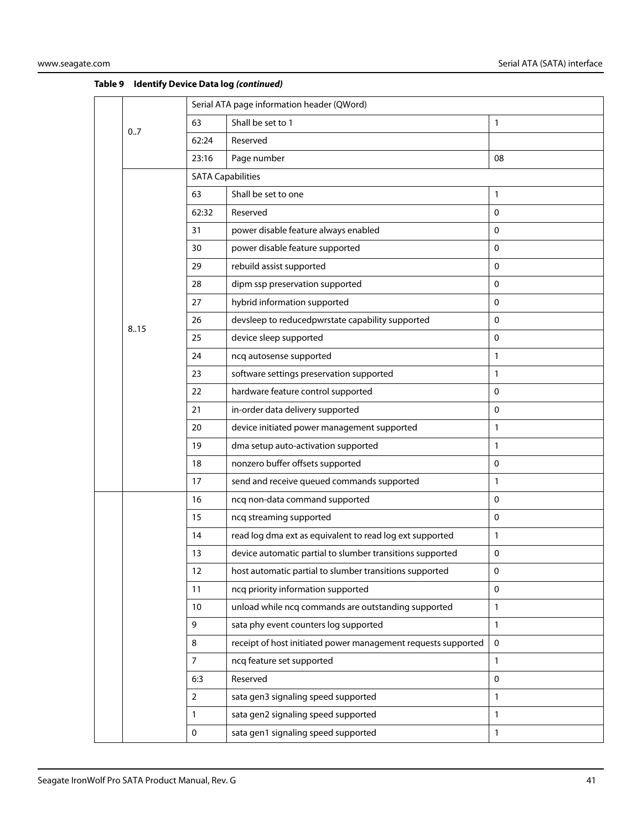|  |      |                          | Serial ATA page information header (QWord)                    |              |  |  |  |
|--|------|--------------------------|---------------------------------------------------------------|--------------|--|--|--|
|  | 0.7  | 63                       | Shall be set to 1                                             | 1            |  |  |  |
|  |      | 62:24                    | Reserved                                                      |              |  |  |  |
|  |      | 23:16                    | Page number                                                   | 08           |  |  |  |
|  |      | <b>SATA Capabilities</b> |                                                               |              |  |  |  |
|  |      | 63                       | Shall be set to one                                           | 1            |  |  |  |
|  |      | 62:32                    | Reserved                                                      | 0            |  |  |  |
|  |      | 31                       | power disable feature always enabled                          | $\mathbf 0$  |  |  |  |
|  |      | 30                       | power disable feature supported                               | $\mathbf 0$  |  |  |  |
|  |      | 29                       | rebuild assist supported                                      | 0            |  |  |  |
|  |      | 28                       | dipm ssp preservation supported                               | 0            |  |  |  |
|  |      | 27                       | hybrid information supported                                  | 0            |  |  |  |
|  |      | 26                       | devsleep to reducedpwrstate capability supported              | 0            |  |  |  |
|  | 8.15 | 25                       | device sleep supported                                        | 0            |  |  |  |
|  |      | 24                       | ncq autosense supported                                       | $\mathbf{1}$ |  |  |  |
|  |      | 23                       | software settings preservation supported                      | $\mathbf{1}$ |  |  |  |
|  |      | 22                       | hardware feature control supported                            | 0            |  |  |  |
|  |      | 21                       | in-order data delivery supported                              | 0            |  |  |  |
|  |      | 20                       | device initiated power management supported                   | 1            |  |  |  |
|  |      | 19                       | dma setup auto-activation supported                           | 1            |  |  |  |
|  |      | 18                       | nonzero buffer offsets supported                              | 0            |  |  |  |
|  |      | 17                       | send and receive queued commands supported                    | $\mathbf{1}$ |  |  |  |
|  |      | 16                       | ncq non-data command supported                                | $\mathbf{0}$ |  |  |  |
|  |      | 15                       | ncq streaming supported                                       | $\mathbf 0$  |  |  |  |
|  |      | 14                       | read log dma ext as equivalent to read log ext supported      | $\mathbf{1}$ |  |  |  |
|  |      | 13                       | device automatic partial to slumber transitions supported     | 0            |  |  |  |
|  |      | 12                       | host automatic partial to slumber transitions supported       | 0            |  |  |  |
|  |      | 11                       | ncq priority information supported                            | $\mathbf 0$  |  |  |  |
|  |      | 10                       | unload while ncq commands are outstanding supported           | $\mathbf{1}$ |  |  |  |
|  |      | 9                        | sata phy event counters log supported                         | $\mathbf{1}$ |  |  |  |
|  |      | 8                        | receipt of host initiated power management requests supported | $\mathbf 0$  |  |  |  |
|  |      | $\overline{7}$           | ncq feature set supported                                     | 1            |  |  |  |
|  |      | 6:3                      | Reserved                                                      | 0            |  |  |  |
|  |      | $\overline{2}$           | sata gen3 signaling speed supported                           | 1            |  |  |  |
|  |      | $\mathbf{1}$             | sata gen2 signaling speed supported                           | 1            |  |  |  |
|  |      | $\pmb{0}$                | sata gen1 signaling speed supported                           | 1            |  |  |  |
|  |      |                          |                                                               |              |  |  |  |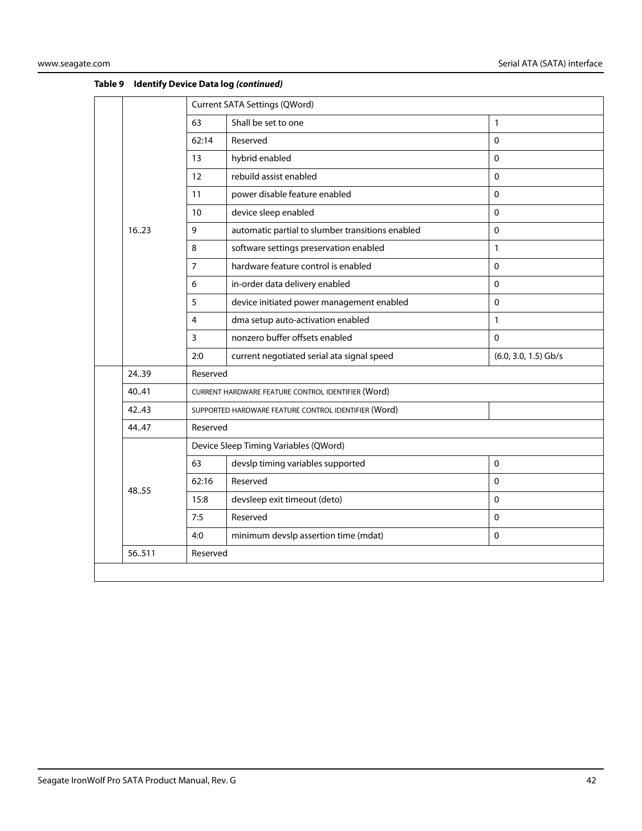|  |       | Current SATA Settings (QWord)                      |                                                      |                        |  |  |
|--|-------|----------------------------------------------------|------------------------------------------------------|------------------------|--|--|
|  |       | 63                                                 | Shall be set to one                                  | $\mathbf{1}$           |  |  |
|  |       | 62:14                                              | Reserved                                             | $\Omega$               |  |  |
|  |       | 13                                                 | hybrid enabled                                       | $\Omega$               |  |  |
|  |       | 12                                                 | rebuild assist enabled                               | $\Omega$               |  |  |
|  |       | 11                                                 | power disable feature enabled                        | $\Omega$               |  |  |
|  |       | 10                                                 | device sleep enabled                                 | $\pmb{0}$              |  |  |
|  | 1623  | 9                                                  | automatic partial to slumber transitions enabled     | $\pmb{0}$              |  |  |
|  |       | 8                                                  | software settings preservation enabled               | $\mathbf{1}$           |  |  |
|  |       | $\overline{7}$                                     | hardware feature control is enabled                  | $\pmb{0}$              |  |  |
|  |       | 6                                                  | in-order data delivery enabled                       | $\mathbf 0$            |  |  |
|  |       | 5                                                  | device initiated power management enabled            | $\Omega$               |  |  |
|  |       | $\overline{4}$                                     | dma setup auto-activation enabled                    | $\mathbf{1}$           |  |  |
|  |       | $\overline{3}$                                     | nonzero buffer offsets enabled                       | $\Omega$               |  |  |
|  |       | 2:0                                                | current negotiated serial ata signal speed           | $(6.0, 3.0, 1.5)$ Gb/s |  |  |
|  | 24.39 | Reserved                                           |                                                      |                        |  |  |
|  | 40.41 | CURRENT HARDWARE FEATURE CONTROL IDENTIFIER (Word) |                                                      |                        |  |  |
|  | 42.43 |                                                    | SUPPORTED HARDWARE FEATURE CONTROL IDENTIFIER (Word) |                        |  |  |
|  | 44.47 | Reserved                                           |                                                      |                        |  |  |
|  |       | Device Sleep Timing Variables (QWord)              |                                                      |                        |  |  |
|  |       | 63                                                 | devslp timing variables supported                    | $\mathbf 0$            |  |  |
|  | 48.55 | 62:16                                              | Reserved                                             | $\Omega$               |  |  |
|  |       | 15:8                                               | devsleep exit timeout (deto)                         | $\mathbf 0$            |  |  |
|  |       | 7:5                                                | Reserved                                             | $\Omega$               |  |  |
|  |       | 4:0                                                | minimum devslp assertion time (mdat)                 | $\mathbf 0$            |  |  |
|  | 56511 | Reserved                                           |                                                      |                        |  |  |
|  |       |                                                    |                                                      |                        |  |  |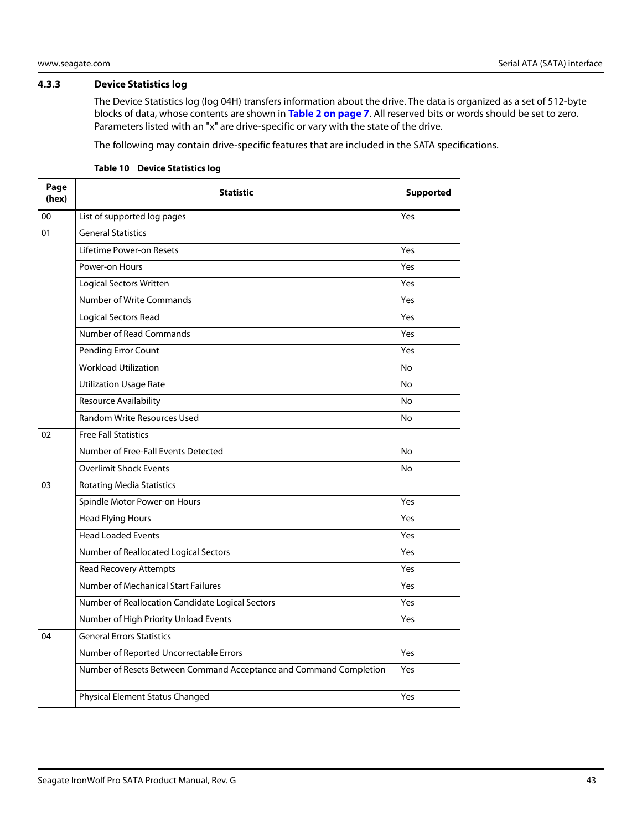#### <span id="page-43-0"></span>**4.3.3 Device Statistics log**

The Device Statistics log (log 04H) transfers information about the drive. The data is organized as a set of 512-byte blocks of data, whose contents are shown in **[Table 2 on page 7](#page-7-2)**. All reserved bits or words should be set to zero. Parameters listed with an "x" are drive-specific or vary with the state of the drive.

The following may contain drive-specific features that are included in the SATA specifications.

| Page<br>(hex) | <b>Statistic</b>                                                   | <b>Supported</b> |  |  |  |  |  |  |
|---------------|--------------------------------------------------------------------|------------------|--|--|--|--|--|--|
| 00            | List of supported log pages                                        | Yes              |  |  |  |  |  |  |
| 01            | <b>General Statistics</b>                                          |                  |  |  |  |  |  |  |
|               | Lifetime Power-on Resets                                           | Yes              |  |  |  |  |  |  |
|               | Power-on Hours                                                     | Yes              |  |  |  |  |  |  |
|               | Logical Sectors Written                                            |                  |  |  |  |  |  |  |
|               | Number of Write Commands                                           | Yes              |  |  |  |  |  |  |
|               | Logical Sectors Read                                               | Yes              |  |  |  |  |  |  |
|               | Number of Read Commands                                            | Yes              |  |  |  |  |  |  |
|               | Pending Error Count                                                | Yes              |  |  |  |  |  |  |
|               | Workload Utilization                                               | <b>No</b>        |  |  |  |  |  |  |
|               | <b>Utilization Usage Rate</b>                                      | No.              |  |  |  |  |  |  |
|               | <b>Resource Availability</b>                                       | <b>No</b>        |  |  |  |  |  |  |
|               | Random Write Resources Used                                        | No               |  |  |  |  |  |  |
| 02            | <b>Free Fall Statistics</b>                                        |                  |  |  |  |  |  |  |
|               | Number of Free-Fall Events Detected                                | <b>No</b>        |  |  |  |  |  |  |
|               | <b>Overlimit Shock Events</b>                                      | N <sub>o</sub>   |  |  |  |  |  |  |
| 03            | <b>Rotating Media Statistics</b>                                   |                  |  |  |  |  |  |  |
|               | Spindle Motor Power-on Hours                                       | Yes              |  |  |  |  |  |  |
|               | <b>Head Flying Hours</b>                                           | Yes              |  |  |  |  |  |  |
|               | <b>Head Loaded Events</b>                                          | Yes              |  |  |  |  |  |  |
|               | Number of Reallocated Logical Sectors                              | Yes              |  |  |  |  |  |  |
|               | <b>Read Recovery Attempts</b>                                      | Yes              |  |  |  |  |  |  |
|               | <b>Number of Mechanical Start Failures</b>                         | Yes              |  |  |  |  |  |  |
|               | Number of Reallocation Candidate Logical Sectors                   | Yes              |  |  |  |  |  |  |
|               | Number of High Priority Unload Events                              | Yes              |  |  |  |  |  |  |
| 04            | <b>General Errors Statistics</b>                                   |                  |  |  |  |  |  |  |
|               | Number of Reported Uncorrectable Errors                            | Yes              |  |  |  |  |  |  |
|               | Number of Resets Between Command Acceptance and Command Completion | Yes              |  |  |  |  |  |  |
|               | Physical Element Status Changed                                    | Yes              |  |  |  |  |  |  |

#### **Table 10 Device Statistics log**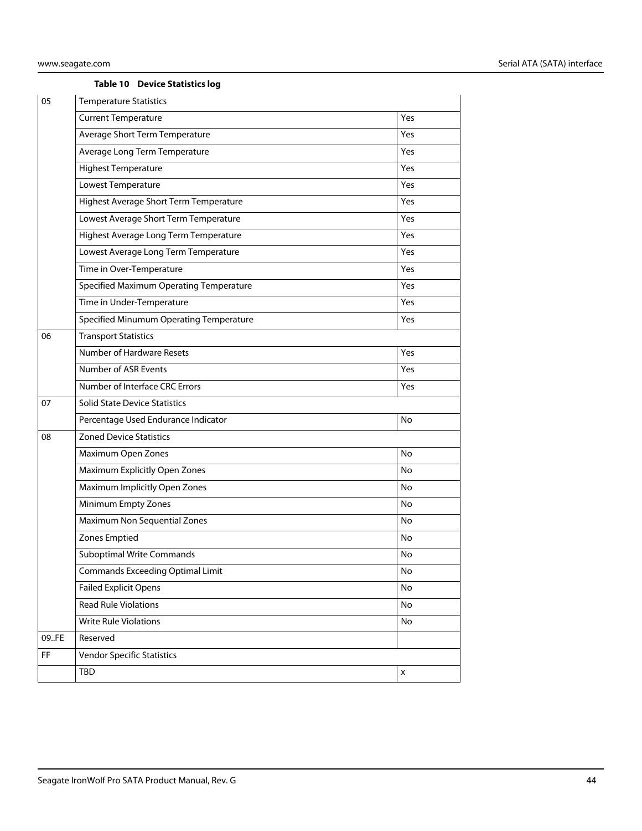#### **Table 10 Device Statistics log**

| <b>Current Temperature</b><br>Average Short Term Temperature<br>Average Long Term Temperature | Yes<br>Yes |
|-----------------------------------------------------------------------------------------------|------------|
|                                                                                               |            |
|                                                                                               |            |
|                                                                                               | Yes        |
| <b>Highest Temperature</b>                                                                    | Yes        |
| Lowest Temperature                                                                            | Yes        |
| Highest Average Short Term Temperature                                                        | Yes        |
| Lowest Average Short Term Temperature                                                         | Yes        |
| Highest Average Long Term Temperature                                                         | Yes        |
| Lowest Average Long Term Temperature                                                          | Yes        |
| Time in Over-Temperature                                                                      | Yes        |
| Specified Maximum Operating Temperature                                                       | Yes        |
| Time in Under-Temperature                                                                     | Yes        |
| Specified Minumum Operating Temperature                                                       | Yes        |
| <b>Transport Statistics</b><br>06                                                             |            |
| Number of Hardware Resets                                                                     | Yes        |
| Number of ASR Events                                                                          | Yes        |
| Number of Interface CRC Errors                                                                | Yes        |
| 07<br><b>Solid State Device Statistics</b>                                                    |            |
| Percentage Used Endurance Indicator                                                           | No         |
| <b>Zoned Device Statistics</b><br>08                                                          |            |
| Maximum Open Zones                                                                            | No         |
| Maximum Explicitly Open Zones                                                                 | No         |
| Maximum Implicitly Open Zones                                                                 | No         |
| Minimum Empty Zones                                                                           | No         |
| Maximum Non Sequential Zones                                                                  | No         |
| Zones Emptied                                                                                 | No         |
| <b>Suboptimal Write Commands</b>                                                              | No         |
| <b>Commands Exceeding Optimal Limit</b>                                                       | No         |
| <b>Failed Explicit Opens</b>                                                                  | No         |
| <b>Read Rule Violations</b>                                                                   | No         |
| Write Rule Violations                                                                         | No         |
| Reserved<br>09.FE                                                                             |            |
| <b>Vendor Specific Statistics</b><br>FF                                                       |            |
| TBD                                                                                           | X          |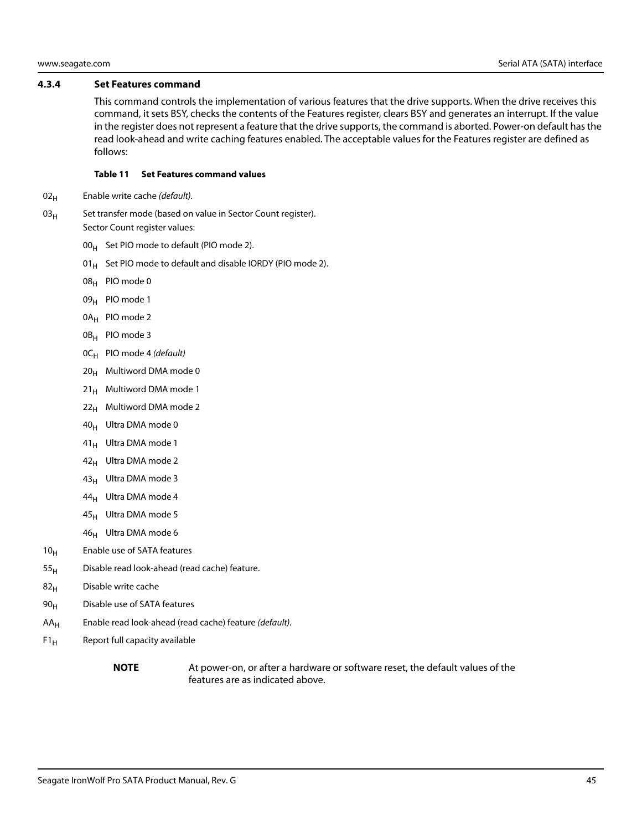#### <span id="page-45-0"></span>**4.3.4 Set Features command**

This command controls the implementation of various features that the drive supports. When the drive receives this command, it sets BSY, checks the contents of the Features register, clears BSY and generates an interrupt. If the value in the register does not represent a feature that the drive supports, the command is aborted. Power-on default has the read look-ahead and write caching features enabled. The acceptable values for the Features register are defined as follows:

#### **Table 11 Set Features command values**

- $02_H$  Enable write cache (default).
- $03<sub>H</sub>$  Set transfer mode (based on value in Sector Count register). Sector Count register values:
	- $00_H$  Set PIO mode to default (PIO mode 2).
	- 01 $_{\rm H}$  Set PIO mode to default and disable IORDY (PIO mode 2).
	- 08H PIO mode 0
	- 09<sub>H</sub> PIO mode 1
	- 0A<sub>H</sub> PIO mode 2
	- 0B<sub>H</sub> PIO mode 3
	- $OC_H$  PIO mode 4 (default)
	- $20_H$  Multiword DMA mode 0
	- $21_H$  Multiword DMA mode 1
	- $22<sub>H</sub>$  Multiword DMA mode 2
	- $40_H$  Ultra DMA mode 0
	- $41_H$  Ultra DMA mode 1
	- $42_H$  Ultra DMA mode 2
	- 43<sub>H</sub> Ultra DMA mode 3
	- 44<sub>H</sub> Ultra DMA mode 4
	- $45_H$  Ultra DMA mode 5
	- 46<sub>H</sub> Ultra DMA mode 6
- $10<sub>H</sub>$  Enable use of SATA features
- $55<sub>H</sub>$  Disable read look-ahead (read cache) feature.
- $82<sub>H</sub>$  Disable write cache
- 90<sub>H</sub> Disable use of SATA features
- $AA_H$  Enable read look-ahead (read cache) feature (*default*).
- $F1_H$  Report full capacity available
	-

**NOTE** At power-on, or after a hardware or software reset, the default values of the features are as indicated above.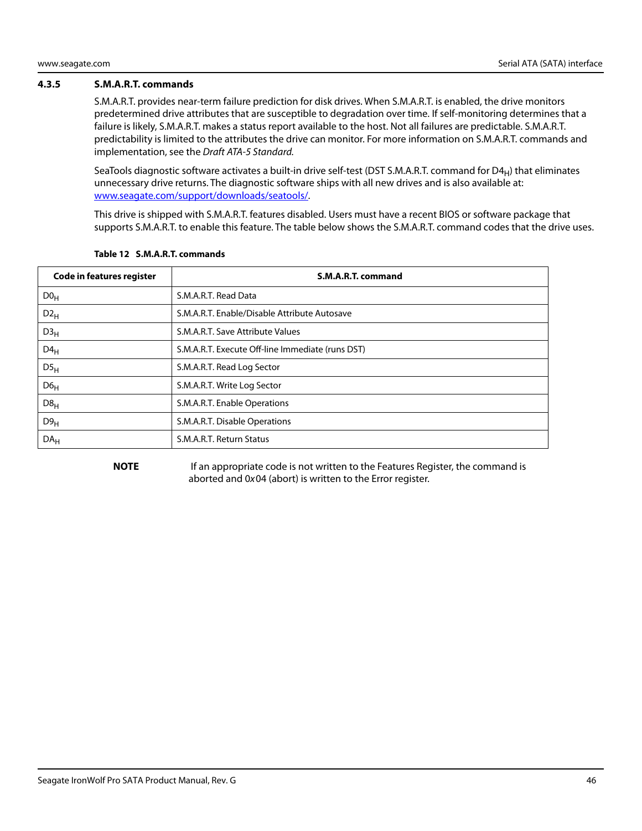#### <span id="page-46-0"></span>**4.3.5 S.M.A.R.T. commands**

S.M.A.R.T. provides near-term failure prediction for disk drives. When S.M.A.R.T. is enabled, the drive monitors predetermined drive attributes that are susceptible to degradation over time. If self-monitoring determines that a failure is likely, S.M.A.R.T. makes a status report available to the host. Not all failures are predictable. S.M.A.R.T. predictability is limited to the attributes the drive can monitor. For more information on S.M.A.R.T. commands and implementation, see the Draft ATA-5 Standard.

SeaTools diagnostic software activates a built-in drive self-test (DST S.M.A.R.T. command for  $D4_H$ ) that eliminates unnecessary drive returns. The diagnostic software ships with all new drives and is also available at: [www.seagate.com/support/downloads/seatools/.](http://www.seagate.com/support/downloads/seatools/ )

This drive is shipped with S.M.A.R.T. features disabled. Users must have a recent BIOS or software package that supports S.M.A.R.T. to enable this feature. The table below shows the S.M.A.R.T. command codes that the drive uses.

| Code in features register | S.M.A.R.T. command                               |
|---------------------------|--------------------------------------------------|
| $Do_{H}$                  | S.M.A.R.T. Read Data                             |
| $D2_H$                    | S.M.A.R.T. Enable/Disable Attribute Autosave     |
| D3 <sub>H</sub>           | S.M.A.R.T. Save Attribute Values                 |
| $D4_H$                    | S.M.A.R.T. Execute Off-line Immediate (runs DST) |
| $DS_{H}$                  | S.M.A.R.T. Read Log Sector                       |
| D6 <sub>H</sub>           | S.M.A.R.T. Write Log Sector                      |
| D8 <sub>H</sub>           | S.M.A.R.T. Enable Operations                     |
| D9 <sub>H</sub>           | S.M.A.R.T. Disable Operations                    |
| DA <sub>H</sub>           | S.M.A.R.T. Return Status                         |

#### **Table 12 S.M.A.R.T. commands**

**NOTE** If an appropriate code is not written to the Features Register, the command is aborted and 0x04 (abort) is written to the Error register.